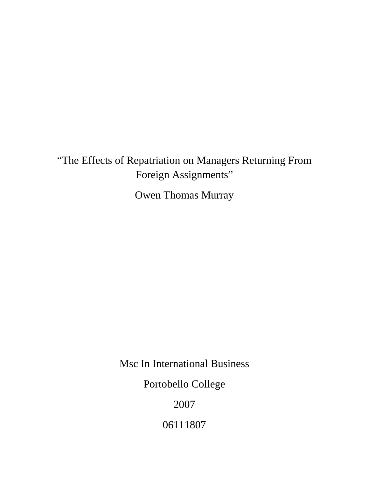"The Effects of Repatriation on Managers Returning From Foreign Assignments"

Owen Thomas Murray

Msc In International Business

Portobello College

2007

06111807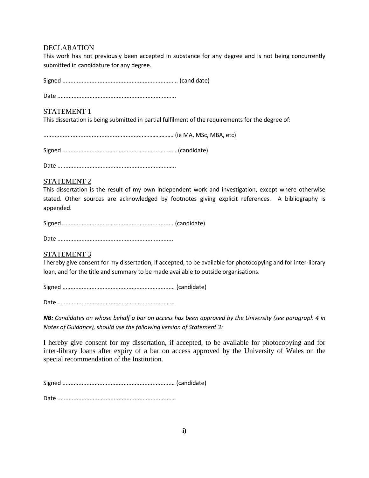# DECLARATION

This work has not previously been accepted in substance for any degree and is not being concurrently submitted in candidature for any degree.

Signed ....................................................................…. (candidate)

Date ......................................................................….

# STATEMENT 1

This dissertation is being submitted in partial fulfilment of the requirements for the degree of:

..............................................................……………….. (ie MA, MSc, MBA, etc)

Signed ..................................................................….. (candidate)

Date .....................................................................…..

# STATEMENT 2

This dissertation is the result of my own independent work and investigation, except where otherwise stated. Other sources are acknowledged by footnotes giving explicit references. A bibliography is appended.

Signed ..................................................................... (candidate)

Date ........................................................................

# STATEMENT 3

I hereby give consent for my dissertation, if accepted, to be available for photocopying and for inter‐library loan, and for the title and summary to be made available to outside organisations.

Signed ...................................................................… (candidate)

Date ......................................................................…

NB: Candidates on whose behalf a bar on access has been approved by the University (see paragraph 4 in *Notes of Guidance), should use the following version of Statement 3:*

I hereby give consent for my dissertation, if accepted, to be available for photocopying and for inter-library loans after expiry of a bar on access approved by the University of Wales on the special recommendation of the Institution.

Signed ...................................................................… (candidate)

Date ......................................................................…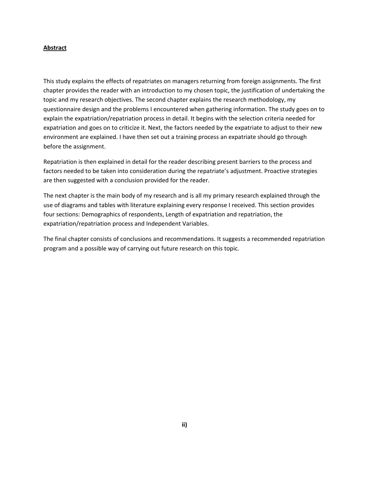# **Abstract**

This study explains the effects of repatriates on managers returning from foreign assignments. The first chapter provides the reader with an introduction to my chosen topic, the justification of undertaking the topic and my research objectives. The second chapter explains the research methodology, my questionnaire design and the problems I encountered when gathering information. The study goes on to explain the expatriation/repatriation process in detail. It begins with the selection criteria needed for expatriation and goes on to criticize it. Next, the factors needed by the expatriate to adjust to their new environment are explained. I have then set out a training process an expatriate should go through before the assignment.

Repatriation is then explained in detail for the reader describing present barriers to the process and factors needed to be taken into consideration during the repatriate's adjustment. Proactive strategies are then suggested with a conclusion provided for the reader.

The next chapter is the main body of my research and is all my primary research explained through the use of diagrams and tables with literature explaining every response I received. This section provides four sections: Demographics of respondents, Length of expatriation and repatriation, the expatriation/repatriation process and Independent Variables.

The final chapter consists of conclusions and recommendations. It suggests a recommended repatriation program and a possible way of carrying out future research on this topic.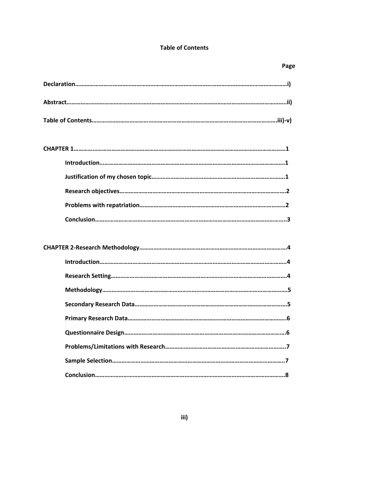# **Table of Contents**

| Page |
|------|
|      |
|      |
|      |
|      |
|      |
|      |
|      |
|      |
|      |
|      |
|      |
|      |
|      |
|      |
|      |
|      |
|      |
|      |
|      |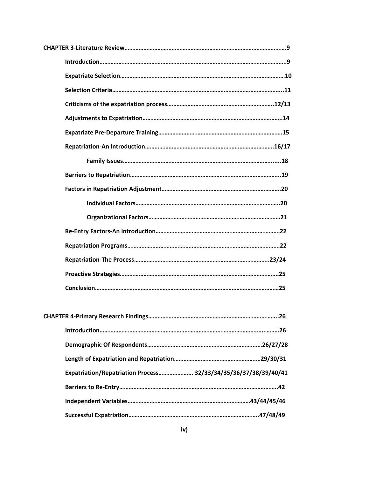| Expatriation/Repatriation Process 32/33/34/35/36/37/38/39/40/41 |
|-----------------------------------------------------------------|
|                                                                 |

**Independent Variables……………………………………………………………………43/44/45/46**

**Successful Expatriation………………………………………………………………………..47/48/49**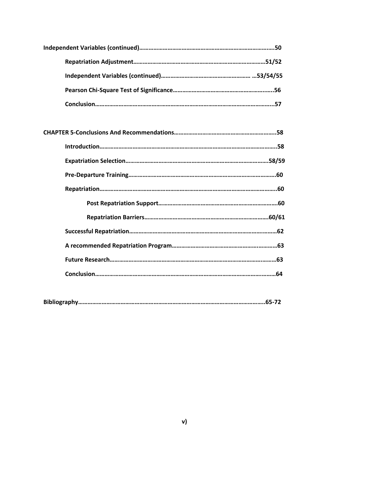|--|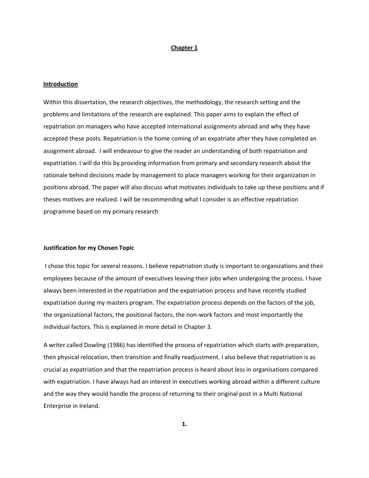#### **Chapter 1**

## **Introduction**

Within this dissertation, the research objectives, the methodology, the research setting and the problems and limitations of the research are explained. This paper aims to explain the effect of repatriation on managers who have accepted international assignments abroad and why they have accepted these posts. Repatriation is the home coming of an expatriate after they have completed an assignment abroad. I will endeavour to give the reader an understanding of both repatriation and expatriation. I will do this by providing information from primary and secondary research about the rationale behind decisions made by management to place managers working for their organization in positions abroad. The paper will also discuss what motivates individuals to take up these positions and if theses motives are realized. I will be recommending what I consider is an effective repatriation programme based on my primary research

# **Justification for my Chosen Topic**

I chose this topic for several reasons. I believe repatriation study is important to organizations and their employees because of the amount of executives leaving their jobs when undergoing the process. I have always been interested in the repatriation and the expatriation process and have recently studied expatriation during my masters program. The expatriation process depends on the factors of the job, the organizational factors, the positional factors, the non‐work factors and most importantly the individual factors. This is explained in more detail in Chapter 3.

A writer called Dowling (1986) has identified the process of repatriation which starts with preparation, then physical relocation, then transition and finally readjustment. I also believe that repatriation is as crucial as expatriation and that the repatriation process is heard about less in organisations compared with expatriation. I have always had an interest in executives working abroad within a different culture and the way they would handle the process of returning to their original post in a Multi National Enterprise in Ireland.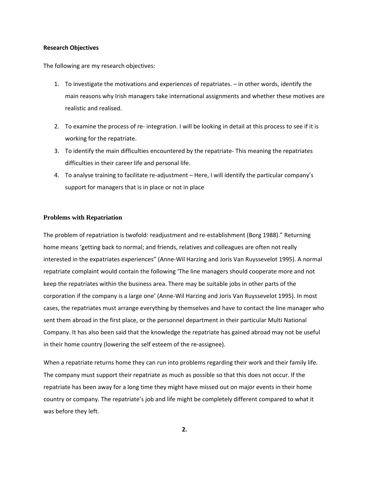#### **Research Objectives**

The following are my research objectives:

- 1. To investigate the motivations and experiences of repatriates. in other words, identify the main reasons why Irish managers take international assignments and whether these motives are realistic and realised.
- 2. To examine the process of re-integration. I will be looking in detail at this process to see if it is working for the repatriate.
- 3. To identify the main difficulties encountered by the repatriate‐ This meaning the repatriates difficulties in their career life and personal life.
- 4. To analyse training to facilitate re-adjustment Here, I will identify the particular company's support for managers that is in place or not in place

# **Problems with Repatriation**

The problem of repatriation is twofold: readjustment and re‐establishment (Borg 1988)." Returning home means 'getting back to normal; and friends, relatives and colleagues are often not really interested in the expatriates experiences" (Anne‐Wil Harzing and Joris Van Ruyssevelot 1995). A normal repatriate complaint would contain the following 'The line managers should cooperate more and not keep the repatriates within the business area. There may be suitable jobs in other parts of the corporation if the company is a large one' (Anne‐Wil Harzing and Joris Van Ruyssevelot 1995). In most cases, the repatriates must arrange everything by themselves and have to contact the line manager who sent them abroad in the first place, or the personnel department in their particular Multi National Company. It has also been said that the knowledge the repatriate has gained abroad may not be useful in their home country (lowering the self esteem of the re‐assignee).

When a repatriate returns home they can run into problems regarding their work and their family life. The company must support their repatriate as much as possible so that this does not occur. If the repatriate has been away for a long time they might have missed out on major events in their home country or company. The repatriate's job and life might be completely different compared to what it was before they left.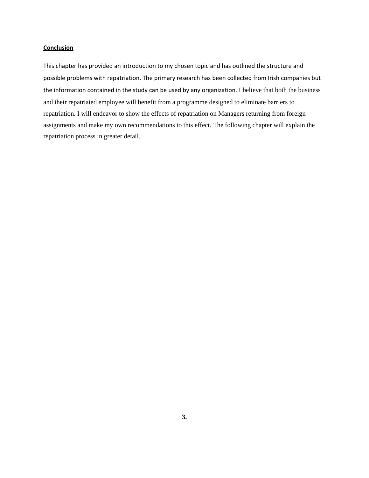# **Conclusion**

This chapter has provided an introduction to my chosen topic and has outlined the structure and possible problems with repatriation. The primary research has been collected from Irish companies but the information contained in the study can be used by any organization. I believe that both the business and their repatriated employee will benefit from a programme designed to eliminate barriers to repatriation. I will endeavor to show the effects of repatriation on Managers returning from foreign assignments and make my own recommendations to this effect. The following chapter will explain the repatriation process in greater detail.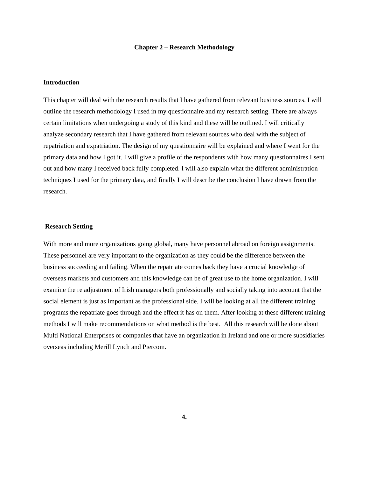#### **Chapter 2 – Research Methodology**

#### **Introduction**

This chapter will deal with the research results that I have gathered from relevant business sources. I will outline the research methodology I used in my questionnaire and my research setting. There are always certain limitations when undergoing a study of this kind and these will be outlined. I will critically analyze secondary research that I have gathered from relevant sources who deal with the subject of repatriation and expatriation. The design of my questionnaire will be explained and where I went for the primary data and how I got it. I will give a profile of the respondents with how many questionnaires I sent out and how many I received back fully completed. I will also explain what the different administration techniques I used for the primary data, and finally I will describe the conclusion I have drawn from the research.

### **Research Setting**

With more and more organizations going global, many have personnel abroad on foreign assignments. These personnel are very important to the organization as they could be the difference between the business succeeding and failing. When the repatriate comes back they have a crucial knowledge of overseas markets and customers and this knowledge can be of great use to the home organization. I will examine the re adjustment of Irish managers both professionally and socially taking into account that the social element is just as important as the professional side. I will be looking at all the different training programs the repatriate goes through and the effect it has on them. After looking at these different training methods I will make recommendations on what method is the best. All this research will be done about Multi National Enterprises or companies that have an organization in Ireland and one or more subsidiaries overseas including Merill Lynch and Piercom.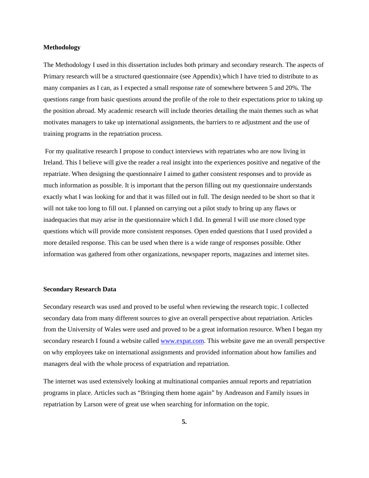# **Methodology**

The Methodology I used in this dissertation includes both primary and secondary research. The aspects of Primary research will be a structured questionnaire (see Appendix) which I have tried to distribute to as many companies as I can, as I expected a small response rate of somewhere between 5 and 20%. The questions range from basic questions around the profile of the role to their expectations prior to taking up the position abroad. My academic research will include theories detailing the main themes such as what motivates managers to take up international assignments, the barriers to re adjustment and the use of training programs in the repatriation process.

 For my qualitative research I propose to conduct interviews with repatriates who are now living in Ireland. This I believe will give the reader a real insight into the experiences positive and negative of the repatriate. When designing the questionnaire I aimed to gather consistent responses and to provide as much information as possible. It is important that the person filling out my questionnaire understands exactly what I was looking for and that it was filled out in full. The design needed to be short so that it will not take too long to fill out. I planned on carrying out a pilot study to bring up any flaws or inadequacies that may arise in the questionnaire which I did. In general I will use more closed type questions which will provide more consistent responses. Open ended questions that I used provided a more detailed response. This can be used when there is a wide range of responses possible. Other information was gathered from other organizations, newspaper reports, magazines and internet sites.

### **Secondary Research Data**

Secondary research was used and proved to be useful when reviewing the research topic. I collected secondary data from many different sources to give an overall perspective about repatriation. Articles from the University of Wales were used and proved to be a great information resource. When I began my secondary research I found a website called [www.expat.com.](http://www.expat.com/) This website gave me an overall perspective on why employees take on international assignments and provided information about how families and managers deal with the whole process of expatriation and repatriation.

The internet was used extensively looking at multinational companies annual reports and repatriation programs in place. Articles such as "Bringing them home again" by Andreason and Family issues in repatriation by Larson were of great use when searching for information on the topic.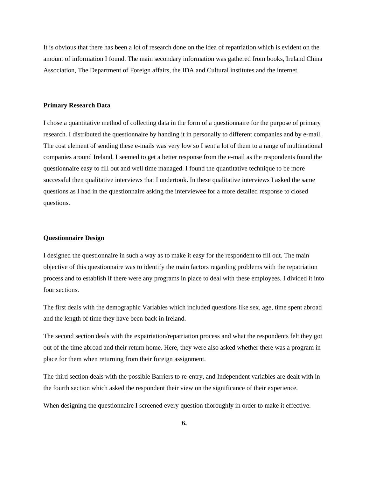It is obvious that there has been a lot of research done on the idea of repatriation which is evident on the amount of information I found. The main secondary information was gathered from books, Ireland China Association, The Department of Foreign affairs, the IDA and Cultural institutes and the internet.

#### **Primary Research Data**

I chose a quantitative method of collecting data in the form of a questionnaire for the purpose of primary research. I distributed the questionnaire by handing it in personally to different companies and by e-mail. The cost element of sending these e-mails was very low so I sent a lot of them to a range of multinational companies around Ireland. I seemed to get a better response from the e-mail as the respondents found the questionnaire easy to fill out and well time managed. I found the quantitative technique to be more successful then qualitative interviews that I undertook. In these qualitative interviews I asked the same questions as I had in the questionnaire asking the interviewee for a more detailed response to closed questions.

### **Questionnaire Design**

I designed the questionnaire in such a way as to make it easy for the respondent to fill out. The main objective of this questionnaire was to identify the main factors regarding problems with the repatriation process and to establish if there were any programs in place to deal with these employees. I divided it into four sections.

The first deals with the demographic Variables which included questions like sex, age, time spent abroad and the length of time they have been back in Ireland.

The second section deals with the expatriation/repatriation process and what the respondents felt they got out of the time abroad and their return home. Here, they were also asked whether there was a program in place for them when returning from their foreign assignment.

The third section deals with the possible Barriers to re-entry, and Independent variables are dealt with in the fourth section which asked the respondent their view on the significance of their experience.

When designing the questionnaire I screened every question thoroughly in order to make it effective.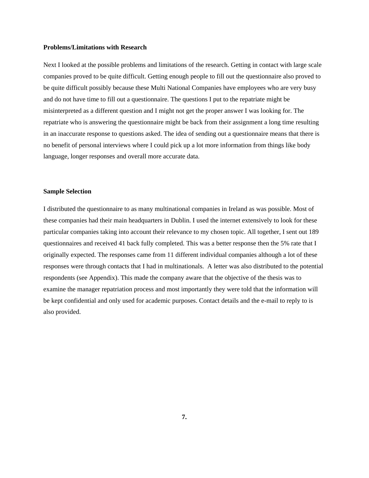#### **Problems/Limitations with Research**

Next I looked at the possible problems and limitations of the research. Getting in contact with large scale companies proved to be quite difficult. Getting enough people to fill out the questionnaire also proved to be quite difficult possibly because these Multi National Companies have employees who are very busy and do not have time to fill out a questionnaire. The questions I put to the repatriate might be misinterpreted as a different question and I might not get the proper answer I was looking for. The repatriate who is answering the questionnaire might be back from their assignment a long time resulting in an inaccurate response to questions asked. The idea of sending out a questionnaire means that there is no benefit of personal interviews where I could pick up a lot more information from things like body language, longer responses and overall more accurate data.

# **Sample Selection**

I distributed the questionnaire to as many multinational companies in Ireland as was possible. Most of these companies had their main headquarters in Dublin. I used the internet extensively to look for these particular companies taking into account their relevance to my chosen topic. All together, I sent out 189 questionnaires and received 41 back fully completed. This was a better response then the 5% rate that I originally expected. The responses came from 11 different individual companies although a lot of these responses were through contacts that I had in multinationals. A letter was also distributed to the potential respondents (see Appendix). This made the company aware that the objective of the thesis was to examine the manager repatriation process and most importantly they were told that the information will be kept confidential and only used for academic purposes. Contact details and the e-mail to reply to is also provided.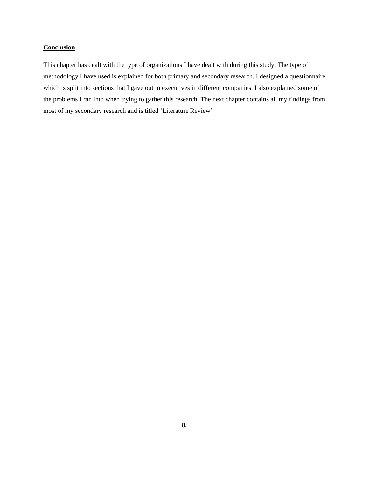# **Conclusion**

This chapter has dealt with the type of organizations I have dealt with during this study. The type of methodology I have used is explained for both primary and secondary research. I designed a questionnaire which is split into sections that I gave out to executives in different companies. I also explained some of the problems I ran into when trying to gather this research. The next chapter contains all my findings from most of my secondary research and is titled 'Literature Review'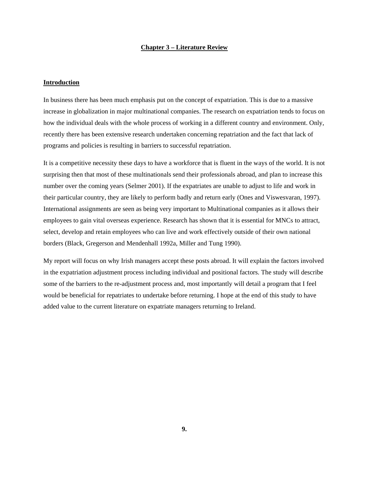# **Chapter 3 – Literature Review**

# **Introduction**

In business there has been much emphasis put on the concept of expatriation. This is due to a massive increase in globalization in major multinational companies. The research on expatriation tends to focus on how the individual deals with the whole process of working in a different country and environment. Only, recently there has been extensive research undertaken concerning repatriation and the fact that lack of programs and policies is resulting in barriers to successful repatriation.

It is a competitive necessity these days to have a workforce that is fluent in the ways of the world. It is not surprising then that most of these multinationals send their professionals abroad, and plan to increase this number over the coming years (Selmer 2001). If the expatriates are unable to adjust to life and work in their particular country, they are likely to perform badly and return early (Ones and Viswesvaran, 1997). International assignments are seen as being very important to Multinational companies as it allows their employees to gain vital overseas experience. Research has shown that it is essential for MNCs to attract, select, develop and retain employees who can live and work effectively outside of their own national borders (Black, Gregerson and Mendenhall 1992a, Miller and Tung 1990).

My report will focus on why Irish managers accept these posts abroad. It will explain the factors involved in the expatriation adjustment process including individual and positional factors. The study will describe some of the barriers to the re-adjustment process and, most importantly will detail a program that I feel would be beneficial for repatriates to undertake before returning. I hope at the end of this study to have added value to the current literature on expatriate managers returning to Ireland.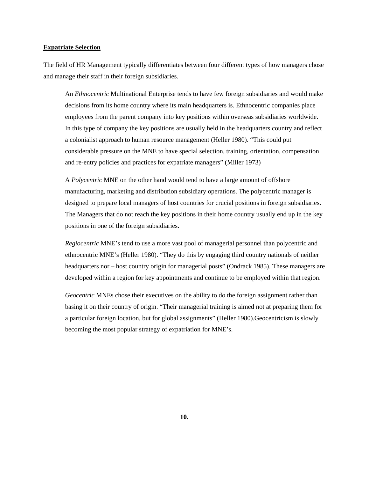# **Expatriate Selection**

The field of HR Management typically differentiates between four different types of how managers chose and manage their staff in their foreign subsidiaries.

An *Ethnocentric* Multinational Enterprise tends to have few foreign subsidiaries and would make decisions from its home country where its main headquarters is. Ethnocentric companies place employees from the parent company into key positions within overseas subsidiaries worldwide. In this type of company the key positions are usually held in the headquarters country and reflect a colonialist approach to human resource management (Heller 1980). "This could put considerable pressure on the MNE to have special selection, training, orientation, compensation and re-entry policies and practices for expatriate managers" (Miller 1973)

A *Polycentric* MNE on the other hand would tend to have a large amount of offshore manufacturing, marketing and distribution subsidiary operations. The polycentric manager is designed to prepare local managers of host countries for crucial positions in foreign subsidiaries. The Managers that do not reach the key positions in their home country usually end up in the key positions in one of the foreign subsidiaries.

*Regiocentric* MNE's tend to use a more vast pool of managerial personnel than polycentric and ethnocentric MNE's (Heller 1980). "They do this by engaging third country nationals of neither headquarters nor – host country origin for managerial posts" (Ondrack 1985). These managers are developed within a region for key appointments and continue to be employed within that region.

*Geocentric* MNEs chose their executives on the ability to do the foreign assignment rather than basing it on their country of origin. "Their managerial training is aimed not at preparing them for a particular foreign location, but for global assignments" (Heller 1980).Geocentricism is slowly becoming the most popular strategy of expatriation for MNE's.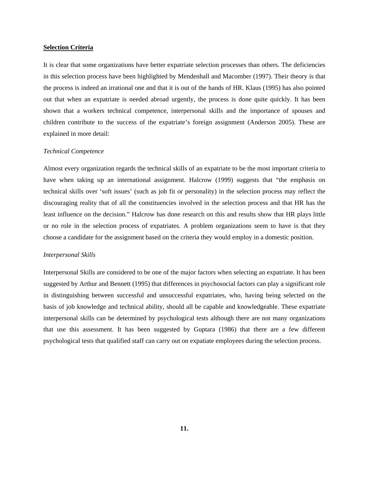# **Selection Criteria**

It is clear that some organizations have better expatriate selection processes than others. The deficiencies in this selection process have been highlighted by Mendenhall and Macomber (1997). Their theory is that the process is indeed an irrational one and that it is out of the hands of HR. Klaus (1995) has also pointed out that when an expatriate is needed abroad urgently, the process is done quite quickly. It has been shown that a workers technical competence, interpersonal skills and the importance of spouses and children contribute to the success of the expatriate's foreign assignment (Anderson 2005). These are explained in more detail:

#### *Technical Competence*

Almost every organization regards the technical skills of an expatriate to be the most important criteria to have when taking up an international assignment. Halcrow (1999) suggests that "the emphasis on technical skills over 'soft issues' (such as job fit or personality) in the selection process may reflect the discouraging reality that of all the constituencies involved in the selection process and that HR has the least influence on the decision." Halcrow has done research on this and results show that HR plays little or no role in the selection process of expatriates. A problem organizations seem to have is that they choose a candidate for the assignment based on the criteria they would employ in a domestic position.

#### *Interpersonal Skills*

Interpersonal Skills are considered to be one of the major factors when selecting an expatriate. It has been suggested by Arthur and Bennett (1995) that differences in psychosocial factors can play a significant role in distinguishing between successful and unsuccessful expatriates, who, having being selected on the basis of job knowledge and technical ability, should all be capable and knowledgeable. These expatriate interpersonal skills can be determined by psychological tests although there are not many organizations that use this assessment. It has been suggested by Guptara (1986) that there are a few different psychological tests that qualified staff can carry out on expatiate employees during the selection process.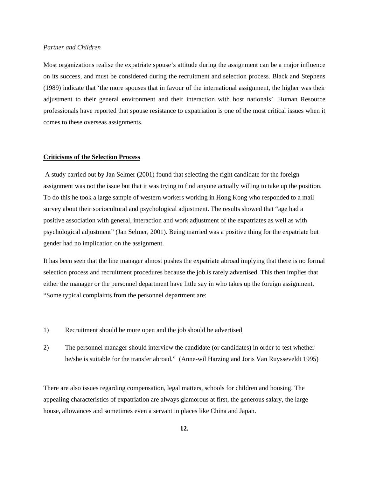# *Partner and Children*

Most organizations realise the expatriate spouse's attitude during the assignment can be a major influence on its success, and must be considered during the recruitment and selection process. Black and Stephens (1989) indicate that 'the more spouses that in favour of the international assignment, the higher was their adjustment to their general environment and their interaction with host nationals'. Human Resource professionals have reported that spouse resistance to expatriation is one of the most critical issues when it comes to these overseas assignments.

# **Criticisms of the Selection Process**

 A study carried out by Jan Selmer (2001) found that selecting the right candidate for the foreign assignment was not the issue but that it was trying to find anyone actually willing to take up the position. To do this he took a large sample of western workers working in Hong Kong who responded to a mail survey about their sociocultural and psychological adjustment. The results showed that "age had a positive association with general, interaction and work adjustment of the expatriates as well as with psychological adjustment" (Jan Selmer, 2001). Being married was a positive thing for the expatriate but gender had no implication on the assignment.

It has been seen that the line manager almost pushes the expatriate abroad implying that there is no formal selection process and recruitment procedures because the job is rarely advertised. This then implies that either the manager or the personnel department have little say in who takes up the foreign assignment. "Some typical complaints from the personnel department are:

- 1) Recruitment should be more open and the job should be advertised
- 2) The personnel manager should interview the candidate (or candidates) in order to test whether he/she is suitable for the transfer abroad." (Anne-wil Harzing and Joris Van Ruysseveldt 1995)

There are also issues regarding compensation, legal matters, schools for children and housing. The appealing characteristics of expatriation are always glamorous at first, the generous salary, the large house, allowances and sometimes even a servant in places like China and Japan.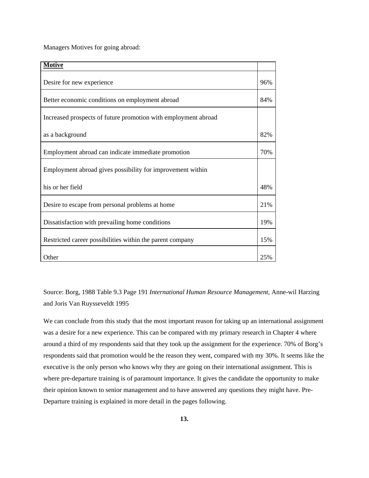Managers Motives for going abroad:

| <b>Motive</b>                                                  |     |
|----------------------------------------------------------------|-----|
| Desire for new experience                                      | 96% |
| Better economic conditions on employment abroad                | 84% |
| Increased prospects of future promotion with employment abroad |     |
| as a background                                                | 82% |
| Employment abroad can indicate immediate promotion             | 70% |
| Employment abroad gives possibility for improvement within     |     |
| his or her field                                               | 48% |
| Desire to escape from personal problems at home                | 21% |
| Dissatisfaction with prevailing home conditions                | 19% |
| Restricted career possibilities within the parent company      | 15% |
| Other                                                          | 25% |

Source: Borg, 1988 Table 9.3 Page 191 *International Human Resource Management,* Anne-wil Harzing and Joris Van Ruysseveldt 1995

We can conclude from this study that the most important reason for taking up an international assignment was a desire for a new experience. This can be compared with my primary research in Chapter 4 where around a third of my respondents said that they took up the assignment for the experience. 70% of Borg's respondents said that promotion would be the reason they went, compared with my 30%. It seems like the executive is the only person who knows why they are going on their international assignment. This is where pre-departure training is of paramount importance. It gives the candidate the opportunity to make their opinion known to senior management and to have answered any questions they might have. Pre-Departure training is explained in more detail in the pages following.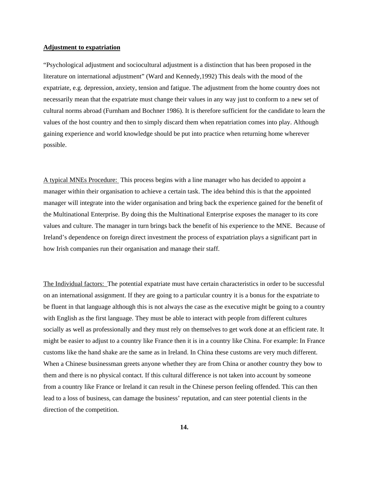# **Adjustment to expatriation**

"Psychological adjustment and sociocultural adjustment is a distinction that has been proposed in the literature on international adjustment" (Ward and Kennedy,1992) This deals with the mood of the expatriate, e.g. depression, anxiety, tension and fatigue. The adjustment from the home country does not necessarily mean that the expatriate must change their values in any way just to conform to a new set of cultural norms abroad (Furnham and Bochner 1986). It is therefore sufficient for the candidate to learn the values of the host country and then to simply discard them when repatriation comes into play. Although gaining experience and world knowledge should be put into practice when returning home wherever possible.

A typical MNEs Procedure: This process begins with a line manager who has decided to appoint a manager within their organisation to achieve a certain task. The idea behind this is that the appointed manager will integrate into the wider organisation and bring back the experience gained for the benefit of the Multinational Enterprise. By doing this the Multinational Enterprise exposes the manager to its core values and culture. The manager in turn brings back the benefit of his experience to the MNE. Because of Ireland's dependence on foreign direct investment the process of expatriation plays a significant part in how Irish companies run their organisation and manage their staff.

The Individual factors: The potential expatriate must have certain characteristics in order to be successful on an international assignment. If they are going to a particular country it is a bonus for the expatriate to be fluent in that language although this is not always the case as the executive might be going to a country with English as the first language. They must be able to interact with people from different cultures socially as well as professionally and they must rely on themselves to get work done at an efficient rate. It might be easier to adjust to a country like France then it is in a country like China. For example: In France customs like the hand shake are the same as in Ireland. In China these customs are very much different. When a Chinese businessman greets anyone whether they are from China or another country they bow to them and there is no physical contact. If this cultural difference is not taken into account by someone from a country like France or Ireland it can result in the Chinese person feeling offended. This can then lead to a loss of business, can damage the business' reputation, and can steer potential clients in the direction of the competition.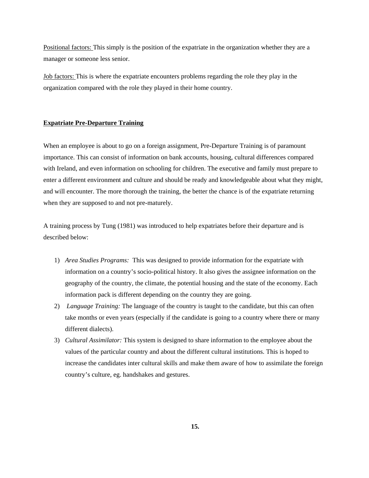Positional factors: This simply is the position of the expatriate in the organization whether they are a manager or someone less senior.

Job factors: This is where the expatriate encounters problems regarding the role they play in the organization compared with the role they played in their home country.

# **Expatriate Pre-Departure Training**

When an employee is about to go on a foreign assignment, Pre-Departure Training is of paramount importance. This can consist of information on bank accounts, housing, cultural differences compared with Ireland, and even information on schooling for children. The executive and family must prepare to enter a different environment and culture and should be ready and knowledgeable about what they might, and will encounter. The more thorough the training, the better the chance is of the expatriate returning when they are supposed to and not pre-maturely.

A training process by Tung (1981) was introduced to help expatriates before their departure and is described below:

- 1) *Area Studies Programs:* This was designed to provide information for the expatriate with information on a country's socio-political history. It also gives the assignee information on the geography of the country, the climate, the potential housing and the state of the economy. Each information pack is different depending on the country they are going.
- 2) *Language Training:* The language of the country is taught to the candidate, but this can often take months or even years (especially if the candidate is going to a country where there or many different dialects).
- 3) *Cultural Assimilator:* This system is designed to share information to the employee about the values of the particular country and about the different cultural institutions. This is hoped to increase the candidates inter cultural skills and make them aware of how to assimilate the foreign country's culture, eg. handshakes and gestures.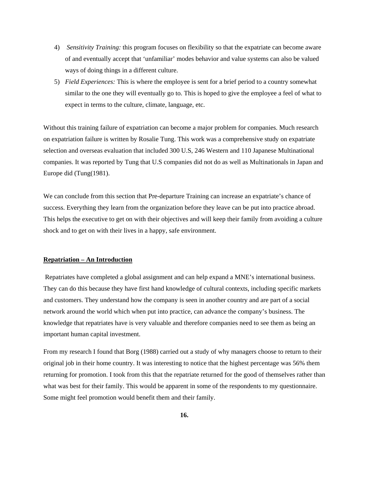- 4) *Sensitivity Training:* this program focuses on flexibility so that the expatriate can become aware of and eventually accept that 'unfamiliar' modes behavior and value systems can also be valued ways of doing things in a different culture.
- 5) *Field Experiences:* This is where the employee is sent for a brief period to a country somewhat similar to the one they will eventually go to. This is hoped to give the employee a feel of what to expect in terms to the culture, climate, language, etc.

Without this training failure of expatriation can become a major problem for companies. Much research on expatriation failure is written by Rosalie Tung. This work was a comprehensive study on expatriate selection and overseas evaluation that included 300 U.S, 246 Western and 110 Japanese Multinational companies. It was reported by Tung that U.S companies did not do as well as Multinationals in Japan and Europe did (Tung(1981).

We can conclude from this section that Pre-departure Training can increase an expatriate's chance of success. Everything they learn from the organization before they leave can be put into practice abroad. This helps the executive to get on with their objectives and will keep their family from avoiding a culture shock and to get on with their lives in a happy, safe environment.

# **Repatriation – An Introduction**

 Repatriates have completed a global assignment and can help expand a MNE's international business. They can do this because they have first hand knowledge of cultural contexts, including specific markets and customers. They understand how the company is seen in another country and are part of a social network around the world which when put into practice, can advance the company's business. The knowledge that repatriates have is very valuable and therefore companies need to see them as being an important human capital investment.

From my research I found that Borg (1988) carried out a study of why managers choose to return to their original job in their home country. It was interesting to notice that the highest percentage was 56% them returning for promotion. I took from this that the repatriate returned for the good of themselves rather than what was best for their family. This would be apparent in some of the respondents to my questionnaire. Some might feel promotion would benefit them and their family.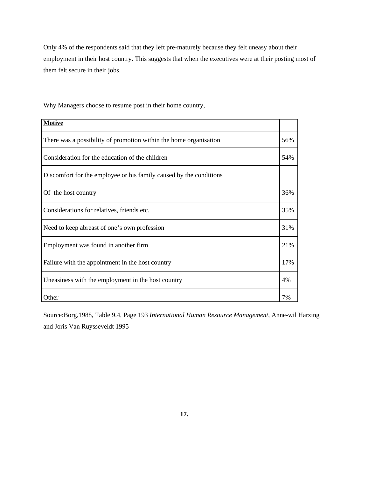Only 4% of the respondents said that they left pre-maturely because they felt uneasy about their employment in their host country. This suggests that when the executives were at their posting most of them felt secure in their jobs.

Why Managers choose to resume post in their home country,

| <b>Motive</b>                                                      |     |
|--------------------------------------------------------------------|-----|
| There was a possibility of promotion within the home organisation  | 56% |
| Consideration for the education of the children                    | 54% |
| Discomfort for the employee or his family caused by the conditions |     |
| Of the host country                                                | 36% |
| Considerations for relatives, friends etc.                         | 35% |
| Need to keep abreast of one's own profession                       | 31% |
| Employment was found in another firm                               | 21% |
| Failure with the appointment in the host country                   | 17% |
| Uneasiness with the employment in the host country                 | 4%  |
| Other                                                              | 7%  |

Source:Borg,1988, Table 9.4, Page 193 *International Human Resource Management,* Anne-wil Harzing and Joris Van Ruysseveldt 1995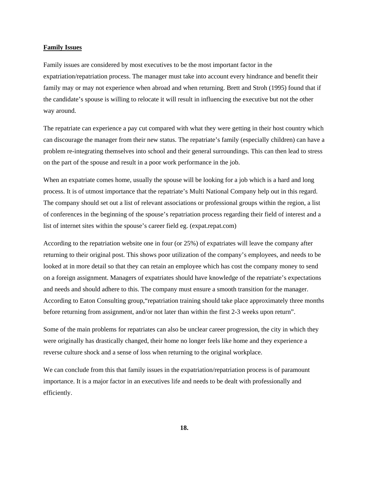# **Family Issues**

Family issues are considered by most executives to be the most important factor in the expatriation/repatriation process. The manager must take into account every hindrance and benefit their family may or may not experience when abroad and when returning. Brett and Stroh (1995) found that if the candidate's spouse is willing to relocate it will result in influencing the executive but not the other way around.

The repatriate can experience a pay cut compared with what they were getting in their host country which can discourage the manager from their new status. The repatriate's family (especially children) can have a problem re-integrating themselves into school and their general surroundings. This can then lead to stress on the part of the spouse and result in a poor work performance in the job.

When an expatriate comes home, usually the spouse will be looking for a job which is a hard and long process. It is of utmost importance that the repatriate's Multi National Company help out in this regard. The company should set out a list of relevant associations or professional groups within the region, a list of conferences in the beginning of the spouse's repatriation process regarding their field of interest and a list of internet sites within the spouse's career field eg. (expat.repat.com)

According to the repatriation website one in four (or 25%) of expatriates will leave the company after returning to their original post. This shows poor utilization of the company's employees, and needs to be looked at in more detail so that they can retain an employee which has cost the company money to send on a foreign assignment. Managers of expatriates should have knowledge of the repatriate's expectations and needs and should adhere to this. The company must ensure a smooth transition for the manager. According to Eaton Consulting group,"repatriation training should take place approximately three months before returning from assignment, and/or not later than within the first 2-3 weeks upon return".

Some of the main problems for repatriates can also be unclear career progression, the city in which they were originally has drastically changed, their home no longer feels like home and they experience a reverse culture shock and a sense of loss when returning to the original workplace.

We can conclude from this that family issues in the expatriation/repatriation process is of paramount importance. It is a major factor in an executives life and needs to be dealt with professionally and efficiently.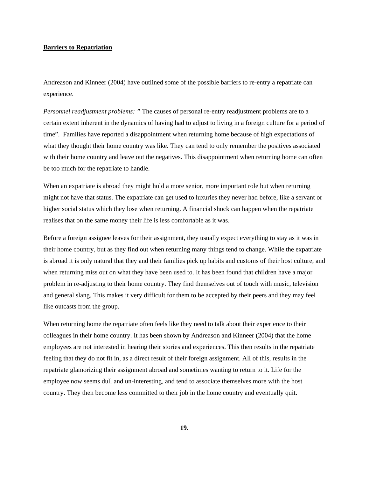# **Barriers to Repatriation**

Andreason and Kinneer (2004) have outlined some of the possible barriers to re-entry a repatriate can experience.

*Personnel readjustment problems: "* The causes of personal re-entry readjustment problems are to a certain extent inherent in the dynamics of having had to adjust to living in a foreign culture for a period of time". Families have reported a disappointment when returning home because of high expectations of what they thought their home country was like. They can tend to only remember the positives associated with their home country and leave out the negatives. This disappointment when returning home can often be too much for the repatriate to handle.

When an expatriate is abroad they might hold a more senior, more important role but when returning might not have that status. The expatriate can get used to luxuries they never had before, like a servant or higher social status which they lose when returning. A financial shock can happen when the repatriate realises that on the same money their life is less comfortable as it was.

Before a foreign assignee leaves for their assignment, they usually expect everything to stay as it was in their home country, but as they find out when returning many things tend to change. While the expatriate is abroad it is only natural that they and their families pick up habits and customs of their host culture, and when returning miss out on what they have been used to. It has been found that children have a major problem in re-adjusting to their home country. They find themselves out of touch with music, television and general slang. This makes it very difficult for them to be accepted by their peers and they may feel like outcasts from the group.

When returning home the repatriate often feels like they need to talk about their experience to their colleagues in their home country. It has been shown by Andreason and Kinneer (2004) that the home employees are not interested in hearing their stories and experiences. This then results in the repatriate feeling that they do not fit in, as a direct result of their foreign assignment. All of this, results in the repatriate glamorizing their assignment abroad and sometimes wanting to return to it. Life for the employee now seems dull and un-interesting, and tend to associate themselves more with the host country. They then become less committed to their job in the home country and eventually quit.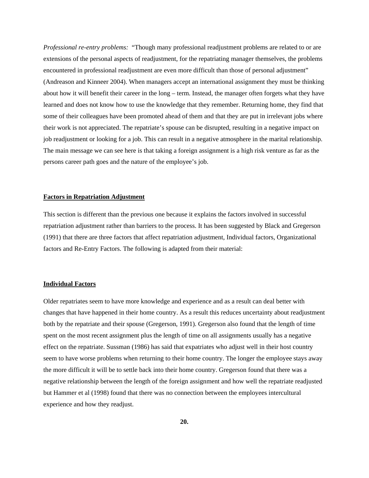*Professional re-entry problems:* "Though many professional readjustment problems are related to or are extensions of the personal aspects of readjustment, for the repatriating manager themselves, the problems encountered in professional readjustment are even more difficult than those of personal adjustment" (Andreason and Kinneer 2004). When managers accept an international assignment they must be thinking about how it will benefit their career in the long – term. Instead, the manager often forgets what they have learned and does not know how to use the knowledge that they remember. Returning home, they find that some of their colleagues have been promoted ahead of them and that they are put in irrelevant jobs where their work is not appreciated. The repatriate's spouse can be disrupted, resulting in a negative impact on job readjustment or looking for a job. This can result in a negative atmosphere in the marital relationship. The main message we can see here is that taking a foreign assignment is a high risk venture as far as the persons career path goes and the nature of the employee's job.

# **Factors in Repatriation Adjustment**

This section is different than the previous one because it explains the factors involved in successful repatriation adjustment rather than barriers to the process. It has been suggested by Black and Gregerson (1991) that there are three factors that affect repatriation adjustment, Individual factors, Organizational factors and Re-Entry Factors. The following is adapted from their material:

# **Individual Factors**

Older repatriates seem to have more knowledge and experience and as a result can deal better with changes that have happened in their home country. As a result this reduces uncertainty about readjustment both by the repatriate and their spouse (Gregerson, 1991). Gregerson also found that the length of time spent on the most recent assignment plus the length of time on all assignments usually has a negative effect on the repatriate. Sussman (1986) has said that expatriates who adjust well in their host country seem to have worse problems when returning to their home country. The longer the employee stays away the more difficult it will be to settle back into their home country. Gregerson found that there was a negative relationship between the length of the foreign assignment and how well the repatriate readjusted but Hammer et al (1998) found that there was no connection between the employees intercultural experience and how they readjust.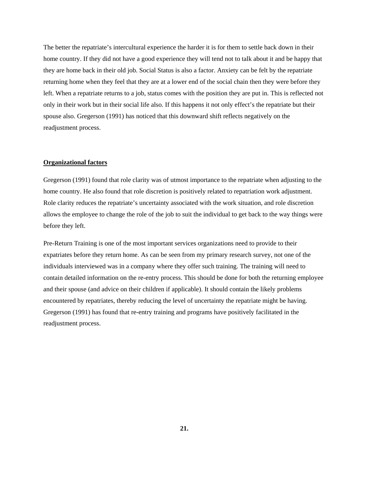The better the repatriate's intercultural experience the harder it is for them to settle back down in their home country. If they did not have a good experience they will tend not to talk about it and be happy that they are home back in their old job. Social Status is also a factor. Anxiety can be felt by the repatriate returning home when they feel that they are at a lower end of the social chain then they were before they left. When a repatriate returns to a job, status comes with the position they are put in. This is reflected not only in their work but in their social life also. If this happens it not only effect's the repatriate but their spouse also. Gregerson (1991) has noticed that this downward shift reflects negatively on the readjustment process.

# **Organizational factors**

Gregerson (1991) found that role clarity was of utmost importance to the repatriate when adjusting to the home country. He also found that role discretion is positively related to repatriation work adjustment. Role clarity reduces the repatriate's uncertainty associated with the work situation, and role discretion allows the employee to change the role of the job to suit the individual to get back to the way things were before they left.

Pre-Return Training is one of the most important services organizations need to provide to their expatriates before they return home. As can be seen from my primary research survey, not one of the individuals interviewed was in a company where they offer such training. The training will need to contain detailed information on the re-entry process. This should be done for both the returning employee and their spouse (and advice on their children if applicable). It should contain the likely problems encountered by repatriates, thereby reducing the level of uncertainty the repatriate might be having. Gregerson (1991) has found that re-entry training and programs have positively facilitated in the readjustment process.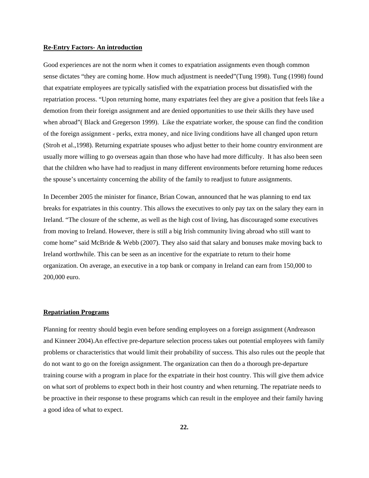# **Re-Entry Factors- An introduction**

Good experiences are not the norm when it comes to expatriation assignments even though common sense dictates "they are coming home. How much adjustment is needed"(Tung 1998). Tung (1998) found that expatriate employees are typically satisfied with the expatriation process but dissatisfied with the repatriation process. "Upon returning home, many expatriates feel they are give a position that feels like a demotion from their foreign assignment and are denied opportunities to use their skills they have used when abroad"( Black and Gregerson 1999). Like the expatriate worker, the spouse can find the condition of the foreign assignment - perks, extra money, and nice living conditions have all changed upon return (Stroh et al.,1998). Returning expatriate spouses who adjust better to their home country environment are usually more willing to go overseas again than those who have had more difficulty. It has also been seen that the children who have had to readjust in many different environments before returning home reduces the spouse's uncertainty concerning the ability of the family to readjust to future assignments.

In December 2005 the minister for finance, Brian Cowan, announced that he was planning to end tax breaks for expatriates in this country. This allows the executives to only pay tax on the salary they earn in Ireland. "The closure of the scheme, as well as the high cost of living, has discouraged some executives from moving to Ireland. However, there is still a big Irish community living abroad who still want to come home" said McBride & Webb (2007). They also said that salary and bonuses make moving back to Ireland worthwhile. This can be seen as an incentive for the expatriate to return to their home organization. On average, an executive in a top bank or company in Ireland can earn from 150,000 to 200,000 euro.

# **Repatriation Programs**

Planning for reentry should begin even before sending employees on a foreign assignment (Andreason and Kinneer 2004).An effective pre-departure selection process takes out potential employees with family problems or characteristics that would limit their probability of success. This also rules out the people that do not want to go on the foreign assignment. The organization can then do a thorough pre-departure training course with a program in place for the expatriate in their host country. This will give them advice on what sort of problems to expect both in their host country and when returning. The repatriate needs to be proactive in their response to these programs which can result in the employee and their family having a good idea of what to expect.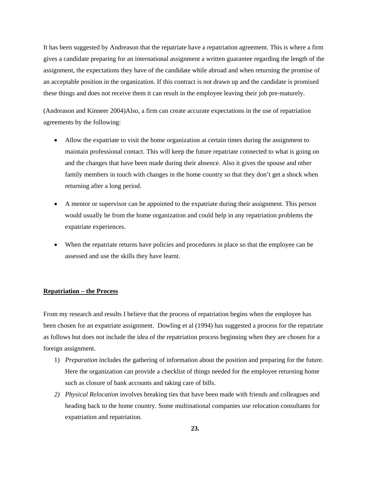It has been suggested by Andreason that the repatriate have a repatriation agreement. This is where a firm gives a candidate preparing for an international assignment a written guarantee regarding the length of the assignment, the expectations they have of the candidate while abroad and when returning the promise of an acceptable position in the organization. If this contract is not drawn up and the candidate is promised these things and does not receive them it can result in the employee leaving their job pre-maturely.

(Andreason and Kinneer 2004)Also, a firm can create accurate expectations in the use of repatriation agreements by the following:

- Allow the expatriate to visit the home organization at certain times during the assignment to maintain professional contact. This will keep the future repatriate connected to what is going on and the changes that have been made during their absence. Also it gives the spouse and other family members in touch with changes in the home country so that they don't get a shock when returning after a long period.
- A mentor or supervisor can be appointed to the expatriate during their assignment. This person would usually be from the home organization and could help in any repatriation problems the expatriate experiences.
- When the repatriate returns have policies and procedures in place so that the employee can be assessed and use the skills they have learnt.

## **Repatriation – the Process**

From my research and results I believe that the process of repatriation begins when the employee has been chosen for an expatriate assignment. Dowling et al (1994) has suggested a process for the repatriate as follows but does not include the idea of the repatriation process beginning when they are chosen for a foreign assignment.

- 1) *Preparation* includes the gathering of information about the position and preparing for the future. Here the organization can provide a checklist of things needed for the employee returning home such as closure of bank accounts and taking care of bills.
- *2) Physical Relocation* involves breaking ties that have been made with friends and colleagues and heading back to the home country. Some multinational companies use relocation consultants for expatriation and repatriation.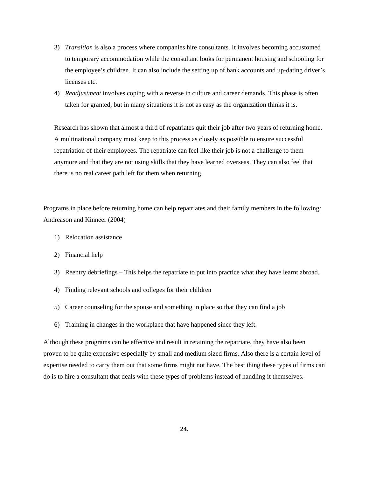- 3) *Transition* is also a process where companies hire consultants. It involves becoming accustomed to temporary accommodation while the consultant looks for permanent housing and schooling for the employee's children. It can also include the setting up of bank accounts and up-dating driver's licenses etc.
- 4) *Readjustment* involves coping with a reverse in culture and career demands. This phase is often taken for granted, but in many situations it is not as easy as the organization thinks it is.

Research has shown that almost a third of repatriates quit their job after two years of returning home. A multinational company must keep to this process as closely as possible to ensure successful repatriation of their employees. The repatriate can feel like their job is not a challenge to them anymore and that they are not using skills that they have learned overseas. They can also feel that there is no real career path left for them when returning.

Programs in place before returning home can help repatriates and their family members in the following: Andreason and Kinneer (2004)

- 1) Relocation assistance
- 2) Financial help
- 3) Reentry debriefings This helps the repatriate to put into practice what they have learnt abroad.
- 4) Finding relevant schools and colleges for their children
- 5) Career counseling for the spouse and something in place so that they can find a job
- 6) Training in changes in the workplace that have happened since they left.

Although these programs can be effective and result in retaining the repatriate, they have also been proven to be quite expensive especially by small and medium sized firms. Also there is a certain level of expertise needed to carry them out that some firms might not have. The best thing these types of firms can do is to hire a consultant that deals with these types of problems instead of handling it themselves.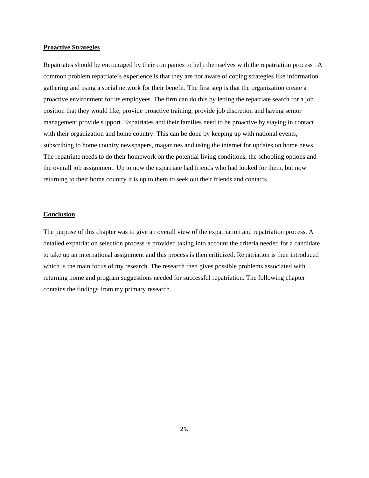# **Proactive Strategies**

Repatriates should be encouraged by their companies to help themselves with the repatriation process . A common problem repatriate's experience is that they are not aware of coping strategies like information gathering and using a social network for their benefit. The first step is that the organization create a proactive environment for its employees. The firm can do this by letting the repatriate search for a job position that they would like, provide proactive training, provide job discretion and having senior management provide support. Expatriates and their families need to be proactive by staying in contact with their organization and home country. This can be done by keeping up with national events, subscribing to home country newspapers, magazines and using the internet for updates on home news. The repatriate needs to do their homework on the potential living conditions, the schooling options and the overall job assignment. Up to now the expatriate had friends who had looked for them, but now returning to their home country it is up to them to seek out their friends and contacts.

#### **Conclusion**

The purpose of this chapter was to give an overall view of the expatriation and repatriation process. A detailed expatriation selection process is provided taking into account the criteria needed for a candidate to take up an international assignment and this process is then criticized. Repatriation is then introduced which is the main focus of my research. The research then gives possible problems associated with returning home and program suggestions needed for successful repatriation. The following chapter contains the findings from my primary research.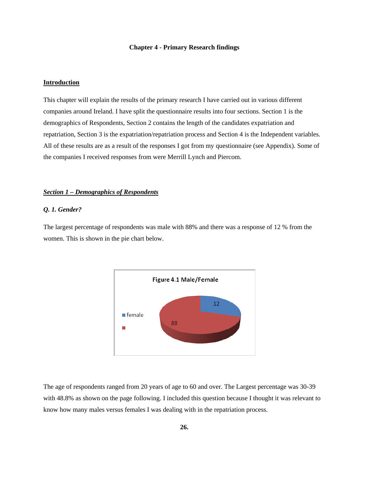#### **Chapter 4 - Primary Research findings**

# **Introduction**

This chapter will explain the results of the primary research I have carried out in various different companies around Ireland. I have split the questionnaire results into four sections. Section 1 is the demographics of Respondents, Section 2 contains the length of the candidates expatriation and repatriation, Section 3 is the expatriation/repatriation process and Section 4 is the Independent variables. All of these results are as a result of the responses I got from my questionnaire (see Appendix). Some of the companies I received responses from were Merrill Lynch and Piercom.

# *Section 1 – Demographics of Respondents*

# *Q. 1. Gender?*

The largest percentage of respondents was male with 88% and there was a response of 12 % from the women. This is shown in the pie chart below.



The age of respondents ranged from 20 years of age to 60 and over. The Largest percentage was 30-39 with 48.8% as shown on the page following. I included this question because I thought it was relevant to know how many males versus females I was dealing with in the repatriation process.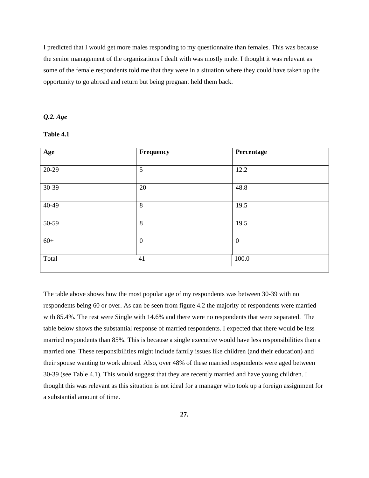I predicted that I would get more males responding to my questionnaire than females. This was because the senior management of the organizations I dealt with was mostly male. I thought it was relevant as some of the female respondents told me that they were in a situation where they could have taken up the opportunity to go abroad and return but being pregnant held them back.

# *Q.2. Age*

# **Table 4.1**

| Age   | Frequency        | Percentage   |
|-------|------------------|--------------|
| 20-29 | 5                | 12.2         |
| 30-39 | 20               | 48.8         |
| 40-49 | 8                | 19.5         |
| 50-59 | 8                | 19.5         |
| $60+$ | $\boldsymbol{0}$ | $\mathbf{0}$ |
| Total | 41               | 100.0        |

The table above shows how the most popular age of my respondents was between 30-39 with no respondents being 60 or over. As can be seen from figure 4.2 the majority of respondents were married with 85.4%. The rest were Single with 14.6% and there were no respondents that were separated. The table below shows the substantial response of married respondents. I expected that there would be less married respondents than 85%. This is because a single executive would have less responsibilities than a married one. These responsibilities might include family issues like children (and their education) and their spouse wanting to work abroad. Also, over 48% of these married respondents were aged between 30-39 (see Table 4.1). This would suggest that they are recently married and have young children. I thought this was relevant as this situation is not ideal for a manager who took up a foreign assignment for a substantial amount of time.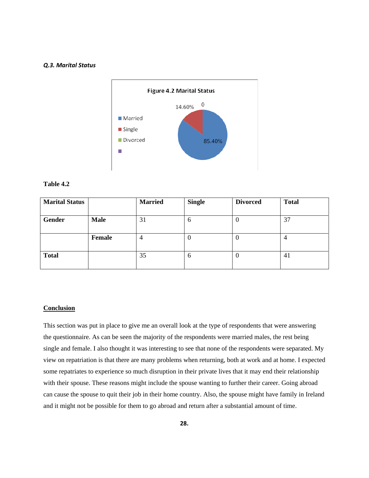# *Q.3. Marital Status*



# **Table 4.2**

| <b>Marital Status</b> |             | <b>Married</b> | <b>Single</b> | <b>Divorced</b> | <b>Total</b> |
|-----------------------|-------------|----------------|---------------|-----------------|--------------|
|                       |             |                |               |                 |              |
| Gender                | <b>Male</b> | 31             | $\mathfrak b$ |                 | 37           |
|                       |             |                |               |                 |              |
|                       | Female      | 4              |               |                 | 4            |
|                       |             |                |               |                 |              |
| <b>Total</b>          |             | 35             | O             |                 | 41           |
|                       |             |                |               |                 |              |

# **Conclusion**

This section was put in place to give me an overall look at the type of respondents that were answering the questionnaire. As can be seen the majority of the respondents were married males, the rest being single and female. I also thought it was interesting to see that none of the respondents were separated. My view on repatriation is that there are many problems when returning, both at work and at home. I expected some repatriates to experience so much disruption in their private lives that it may end their relationship with their spouse. These reasons might include the spouse wanting to further their career. Going abroad can cause the spouse to quit their job in their home country. Also, the spouse might have family in Ireland and it might not be possible for them to go abroad and return after a substantial amount of time.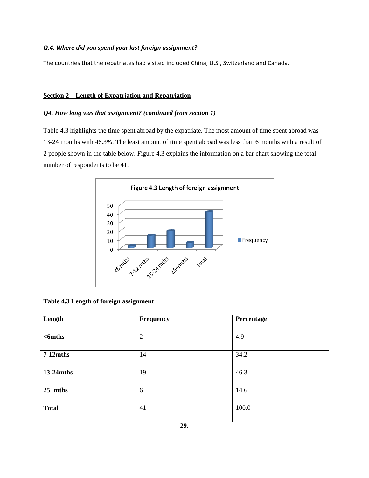# *Q.4. Where did you spend your last foreign assignment?*

The countries that the repatriates had visited included China, U.S., Switzerland and Canada.

# **Section 2 – Length of Expatriation and Repatriation**

# *Q4. How long was that assignment? (continued from section 1)*

Table 4.3 highlights the time spent abroad by the expatriate. The most amount of time spent abroad was 13-24 months with 46.3%. The least amount of time spent abroad was less than 6 months with a result of 2 people shown in the table below. Figure 4.3 explains the information on a bar chart showing the total number of respondents to be 41.



**Table 4.3 Length of foreign assignment** 

| Length       | Frequency      | Percentage |
|--------------|----------------|------------|
|              |                |            |
| $6 6$        | $\overline{2}$ | 4.9        |
|              |                |            |
| $7-12$ mths  | 14             | 34.2       |
|              |                |            |
| $13-24$ mths | 19             | 46.3       |
|              |                |            |
| $25+$ mths   | 6              | 14.6       |
|              |                |            |
| <b>Total</b> | 41             | 100.0      |
|              |                |            |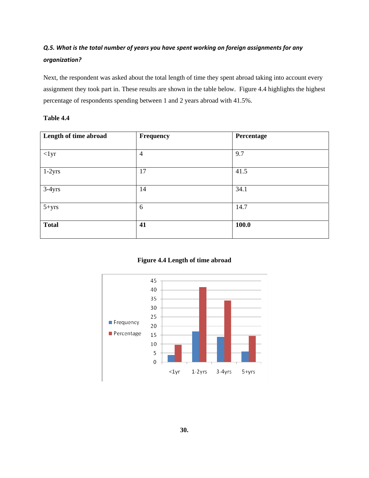# *Q.5. What is the total number of years you have spent working on foreign assignments for any organization?*

Next, the respondent was asked about the total length of time they spent abroad taking into account every assignment they took part in. These results are shown in the table below. Figure 4.4 highlights the highest percentage of respondents spending between 1 and 2 years abroad with 41.5%.

# **Table 4.4**

| Length of time abroad | Frequency      | Percentage |
|-----------------------|----------------|------------|
|                       |                |            |
| $<$ lyr               | $\overline{4}$ | 9.7        |
|                       |                |            |
| $1-2yrs$              | 17             | 41.5       |
| $3-4yrs$              | 14             | 34.1       |
| $5 + yrs$             | 6              | 14.7       |
| <b>Total</b>          | 41             | 100.0      |

**Figure 4.4 Length of time abroad** 

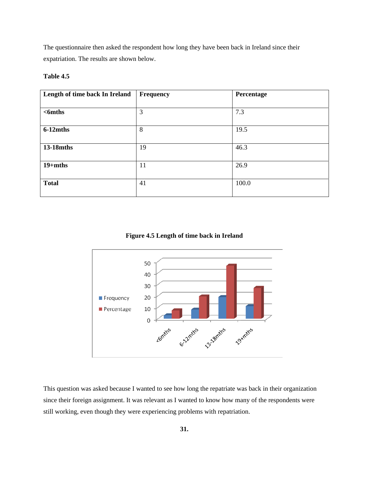The questionnaire then asked the respondent how long they have been back in Ireland since their expatriation. The results are shown below.

# **Table 4.5**

| Length of time back In Ireland | Frequency | Percentage |
|--------------------------------|-----------|------------|
|                                |           |            |
| $6 6$                          | 3         | 7.3        |
|                                |           |            |
| $6-12$ mths                    | 8         | 19.5       |
|                                |           |            |
| 13-18mths                      | 19        | 46.3       |
| $19+$ mths                     | 11        | 26.9       |
| <b>Total</b>                   | 41        | 100.0      |

**Figure 4.5 Length of time back in Ireland** 



This question was asked because I wanted to see how long the repatriate was back in their organization since their foreign assignment. It was relevant as I wanted to know how many of the respondents were still working, even though they were experiencing problems with repatriation.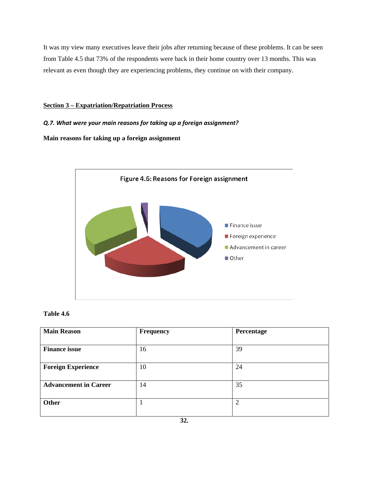It was my view many executives leave their jobs after returning because of these problems. It can be seen from Table 4.5 that 73% of the respondents were back in their home country over 13 months. This was relevant as even though they are experiencing problems, they continue on with their company.

### **Section 3 – Expatriation/Repatriation Process**

## *Q.7. What were your main reasons for taking up a foreign assignment?*

**Main reasons for taking up a foreign assignment** 



## **Table 4.6**

| <b>Main Reason</b>           | Frequency | Percentage |
|------------------------------|-----------|------------|
|                              |           |            |
| <b>Finance issue</b>         | 16        | 39         |
| <b>Foreign Experience</b>    | 10        | 24         |
| <b>Advancement in Career</b> | 14        | 35         |
| Other                        |           | C          |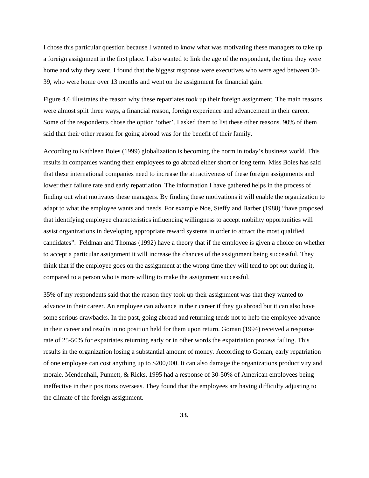I chose this particular question because I wanted to know what was motivating these managers to take up a foreign assignment in the first place. I also wanted to link the age of the respondent, the time they were home and why they went. I found that the biggest response were executives who were aged between 30- 39, who were home over 13 months and went on the assignment for financial gain.

Figure 4.6 illustrates the reason why these repatriates took up their foreign assignment. The main reasons were almost split three ways, a financial reason, foreign experience and advancement in their career. Some of the respondents chose the option 'other'. I asked them to list these other reasons. 90% of them said that their other reason for going abroad was for the benefit of their family.

According to Kathleen Boies (1999) globalization is becoming the norm in today's business world. This results in companies wanting their employees to go abroad either short or long term. Miss Boies has said that these international companies need to increase the attractiveness of these foreign assignments and lower their failure rate and early repatriation. The information I have gathered helps in the process of finding out what motivates these managers. By finding these motivations it will enable the organization to adapt to what the employee wants and needs. For example Noe, Steffy and Barber (1988) "have proposed that identifying employee characteristics influencing willingness to accept mobility opportunities will assist organizations in developing appropriate reward systems in order to attract the most qualified candidates". Feldman and Thomas (1992) have a theory that if the employee is given a choice on whether to accept a particular assignment it will increase the chances of the assignment being successful. They think that if the employee goes on the assignment at the wrong time they will tend to opt out during it, compared to a person who is more willing to make the assignment successful.

35% of my respondents said that the reason they took up their assignment was that they wanted to advance in their career. An employee can advance in their career if they go abroad but it can also have some serious drawbacks. In the past, going abroad and returning tends not to help the employee advance in their career and results in no position held for them upon return. Goman (1994) received a response rate of 25-50% for expatriates returning early or in other words the expatriation process failing. This results in the organization losing a substantial amount of money. According to Goman, early repatriation of one employee can cost anything up to \$200,000. It can also damage the organizations productivity and morale. Mendenhall, Punnett, & Ricks, 1995 had a response of 30-50% of American employees being ineffective in their positions overseas. They found that the employees are having difficulty adjusting to the climate of the foreign assignment.

**33.**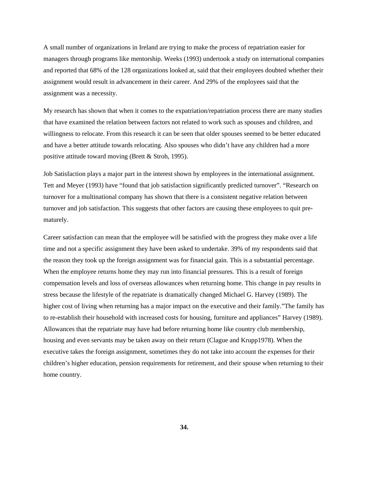A small number of organizations in Ireland are trying to make the process of repatriation easier for managers through programs like mentorship. Weeks (1993) undertook a study on international companies and reported that 68% of the 128 organizations looked at, said that their employees doubted whether their assignment would result in advancement in their career. And 29% of the employees said that the assignment was a necessity.

My research has shown that when it comes to the expatriation/repatriation process there are many studies that have examined the relation between factors not related to work such as spouses and children, and willingness to relocate. From this research it can be seen that older spouses seemed to be better educated and have a better attitude towards relocating. Also spouses who didn't have any children had a more positive attitude toward moving (Brett & Stroh, 1995).

Job Satisfaction plays a major part in the interest shown by employees in the international assignment. Tett and Meyer (1993) have "found that job satisfaction significantly predicted turnover". "Research on turnover for a multinational company has shown that there is a consistent negative relation between turnover and job satisfaction. This suggests that other factors are causing these employees to quit prematurely.

Career satisfaction can mean that the employee will be satisfied with the progress they make over a life time and not a specific assignment they have been asked to undertake. 39% of my respondents said that the reason they took up the foreign assignment was for financial gain. This is a substantial percentage. When the employee returns home they may run into financial pressures. This is a result of foreign compensation levels and loss of overseas allowances when returning home. This change in pay results in stress because the lifestyle of the repatriate is dramatically changed Michael G. Harvey (1989). The higher cost of living when returning has a major impact on the executive and their family."The family has to re-establish their household with increased costs for housing, furniture and appliances" Harvey (1989). Allowances that the repatriate may have had before returning home like country club membership, housing and even servants may be taken away on their return (Clague and Krupp1978). When the executive takes the foreign assignment, sometimes they do not take into account the expenses for their children's higher education, pension requirements for retirement, and their spouse when returning to their home country.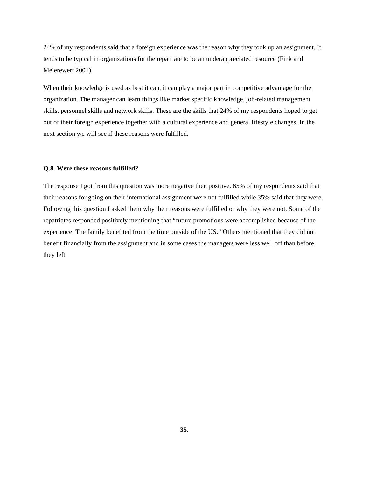24% of my respondents said that a foreign experience was the reason why they took up an assignment. It tends to be typical in organizations for the repatriate to be an underappreciated resource (Fink and Meierewert 2001).

When their knowledge is used as best it can, it can play a major part in competitive advantage for the organization. The manager can learn things like market specific knowledge, job-related management skills, personnel skills and network skills. These are the skills that 24% of my respondents hoped to get out of their foreign experience together with a cultural experience and general lifestyle changes. In the next section we will see if these reasons were fulfilled.

#### **Q.8. Were these reasons fulfilled?**

The response I got from this question was more negative then positive. 65% of my respondents said that their reasons for going on their international assignment were not fulfilled while 35% said that they were. Following this question I asked them why their reasons were fulfilled or why they were not. Some of the repatriates responded positively mentioning that "future promotions were accomplished because of the experience. The family benefited from the time outside of the US." Others mentioned that they did not benefit financially from the assignment and in some cases the managers were less well off than before they left.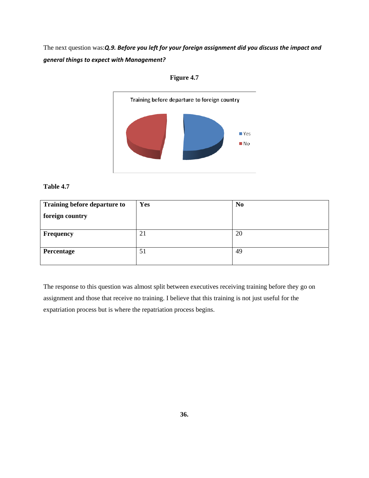The next question was:*Q.9. Before you left for your foreign assignment did you discuss the impact and general things to expect with Management?* 





## **Table 4.7**

| Training before departure to | Yes | N <sub>0</sub> |
|------------------------------|-----|----------------|
| foreign country              |     |                |
|                              |     |                |
| <b>Frequency</b>             | 21  | 20             |
| Percentage                   | 51  | 49             |

The response to this question was almost split between executives receiving training before they go on assignment and those that receive no training. I believe that this training is not just useful for the expatriation process but is where the repatriation process begins.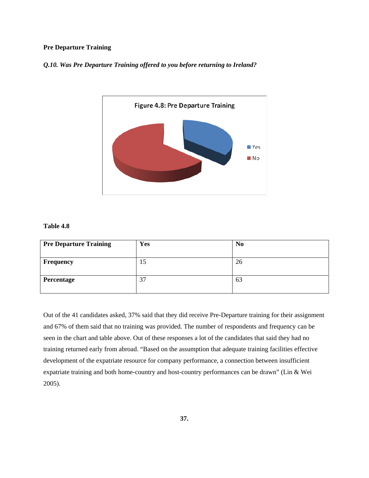# **Pre Departure Training**

# *Q.10. Was Pre Departure Training offered to you before returning to Ireland?*



# **Table 4.8**

| <b>Pre Departure Training</b> | Yes | N <sub>0</sub> |
|-------------------------------|-----|----------------|
|                               |     |                |
| Frequency                     | 15  | 26             |
|                               |     |                |
| Percentage                    | 37  | 63             |
|                               |     |                |

Out of the 41 candidates asked, 37% said that they did receive Pre-Departure training for their assignment and 67% of them said that no training was provided. The number of respondents and frequency can be seen in the chart and table above. Out of these responses a lot of the candidates that said they had no training returned early from abroad. "Based on the assumption that adequate training facilities effective development of the expatriate resource for company performance, a connection between insufficient expatriate training and both home-country and host-country performances can be drawn" (Lin & Wei 2005).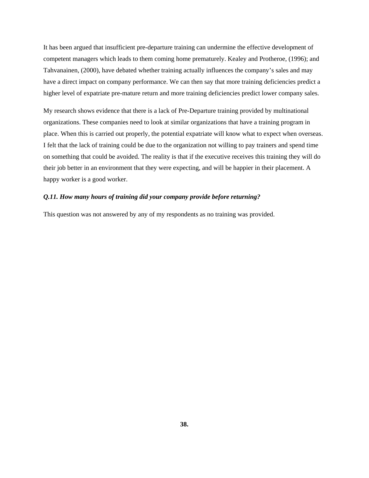It has been argued that insufficient pre-departure training can undermine the effective development of competent managers which leads to them coming home prematurely. Kealey and Protheroe, (1996); and Tahvanainen, (2000), have debated whether training actually influences the company's sales and may have a direct impact on company performance. We can then say that more training deficiencies predict a higher level of expatriate pre-mature return and more training deficiencies predict lower company sales.

My research shows evidence that there is a lack of Pre-Departure training provided by multinational organizations. These companies need to look at similar organizations that have a training program in place. When this is carried out properly, the potential expatriate will know what to expect when overseas. I felt that the lack of training could be due to the organization not willing to pay trainers and spend time on something that could be avoided. The reality is that if the executive receives this training they will do their job better in an environment that they were expecting, and will be happier in their placement. A happy worker is a good worker.

### *Q.11. How many hours of training did your company provide before returning?*

This question was not answered by any of my respondents as no training was provided.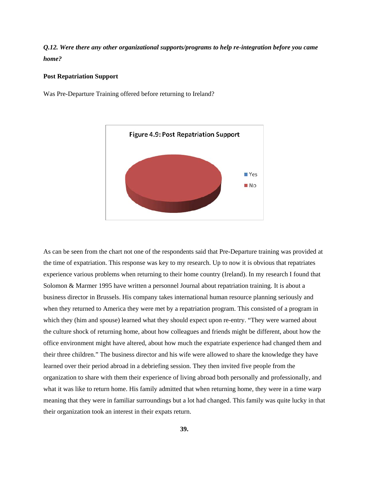*Q.12. Were there any other organizational supports/programs to help re-integration before you came home?* 

## **Post Repatriation Support**

Was Pre-Departure Training offered before returning to Ireland?



As can be seen from the chart not one of the respondents said that Pre-Departure training was provided at the time of expatriation. This response was key to my research. Up to now it is obvious that repatriates experience various problems when returning to their home country (Ireland). In my research I found that Solomon & Marmer 1995 have written a personnel Journal about repatriation training. It is about a business director in Brussels. His company takes international human resource planning seriously and when they returned to America they were met by a repatriation program. This consisted of a program in which they (him and spouse) learned what they should expect upon re-entry. "They were warned about the culture shock of returning home, about how colleagues and friends might be different, about how the office environment might have altered, about how much the expatriate experience had changed them and their three children." The business director and his wife were allowed to share the knowledge they have learned over their period abroad in a debriefing session. They then invited five people from the organization to share with them their experience of living abroad both personally and professionally, and what it was like to return home. His family admitted that when returning home, they were in a time warp meaning that they were in familiar surroundings but a lot had changed. This family was quite lucky in that their organization took an interest in their expats return.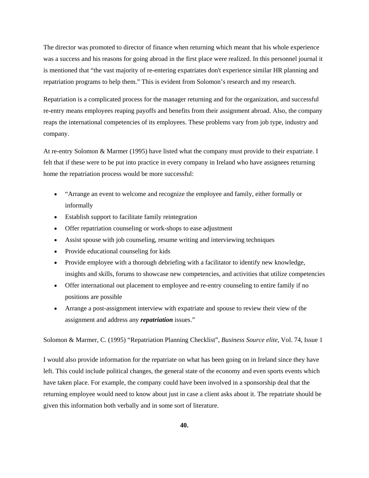The director was promoted to director of finance when returning which meant that his whole experience was a success and his reasons for going abroad in the first place were realized. In this personnel journal it is mentioned that "the vast majority of re-entering expatriates don't experience similar HR planning and repatriation programs to help them." This is evident from Solomon's research and my research.

Repatriation is a complicated process for the manager returning and for the organization, and successful re-entry means employees reaping payoffs and benefits from their assignment abroad. Also, the company reaps the international competencies of its employees. These problems vary from job type, industry and company.

At re-entry Solomon & Marmer (1995) have listed what the company must provide to their expatriate. I felt that if these were to be put into practice in every company in Ireland who have assignees returning home the repatriation process would be more successful:

- "Arrange an event to welcome and recognize the employee and family, either formally or informally
- Establish support to facilitate family reintegration
- Offer repatriation counseling or work-shops to ease adjustment
- Assist spouse with job counseling, resume writing and interviewing techniques
- Provide educational counseling for kids
- Provide employee with a thorough debriefing with a facilitator to identify new knowledge, insights and skills, forums to showcase new competencies, and activities that utilize competencies
- Offer international out placement to employee and re-entry counseling to entire family if no positions are possible
- Arrange a post-assignment interview with expatriate and spouse to review their view of the assignment and address any *repatriation* issues."

Solomon & Marmer, C. (1995) "Repatriation Planning Checklist", *Business Source elite*, Vol. 74, Issue 1

I would also provide information for the repatriate on what has been going on in Ireland since they have left. This could include political changes, the general state of the economy and even sports events which have taken place. For example, the company could have been involved in a sponsorship deal that the returning employee would need to know about just in case a client asks about it. The repatriate should be given this information both verbally and in some sort of literature.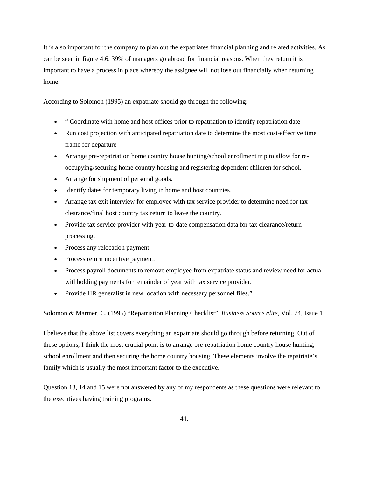It is also important for the company to plan out the expatriates financial planning and related activities. As can be seen in figure 4.6, 39% of managers go abroad for financial reasons. When they return it is important to have a process in place whereby the assignee will not lose out financially when returning home.

According to Solomon (1995) an expatriate should go through the following:

- " Coordinate with home and host offices prior to repatriation to identify repatriation date
- Run cost projection with anticipated repatriation date to determine the most cost-effective time frame for departure
- Arrange pre-repatriation home country house hunting/school enrollment trip to allow for reoccupying/securing home country housing and registering dependent children for school.
- Arrange for shipment of personal goods.
- Identify dates for temporary living in home and host countries.
- Arrange tax exit interview for employee with tax service provider to determine need for tax clearance/final host country tax return to leave the country.
- Provide tax service provider with year-to-date compensation data for tax clearance/return processing.
- Process any relocation payment.
- Process return incentive payment.
- Process payroll documents to remove employee from expatriate status and review need for actual withholding payments for remainder of year with tax service provider.
- Provide HR generalist in new location with necessary personnel files."

Solomon & Marmer, C. (1995) "Repatriation Planning Checklist", *Business Source elite*, Vol. 74, Issue 1

I believe that the above list covers everything an expatriate should go through before returning. Out of these options, I think the most crucial point is to arrange pre-repatriation home country house hunting, school enrollment and then securing the home country housing. These elements involve the repatriate's family which is usually the most important factor to the executive.

Question 13, 14 and 15 were not answered by any of my respondents as these questions were relevant to the executives having training programs.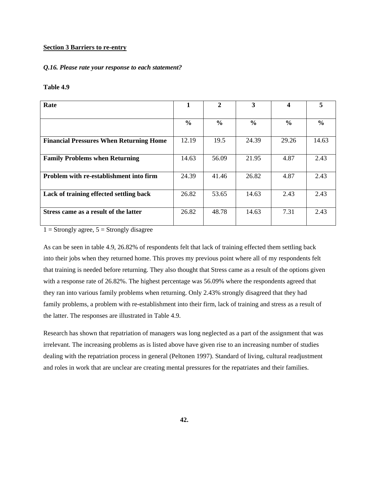### **Section 3 Barriers to re-entry**

## *Q.16. Please rate your response to each statement?*

### **Table 4.9**

| Rate                                           | 1             | $\overline{2}$ | 3             |               | 5             |
|------------------------------------------------|---------------|----------------|---------------|---------------|---------------|
|                                                |               |                |               |               |               |
|                                                | $\frac{0}{0}$ | $\frac{6}{9}$  | $\frac{0}{0}$ | $\frac{6}{9}$ | $\frac{6}{9}$ |
|                                                |               |                |               |               |               |
| <b>Financial Pressures When Returning Home</b> | 12.19         | 19.5           | 24.39         | 29.26         | 14.63         |
|                                                |               |                |               |               |               |
| <b>Family Problems when Returning</b>          | 14.63         | 56.09          | 21.95         | 4.87          | 2.43          |
|                                                |               |                |               |               |               |
| <b>Problem with re-establishment into firm</b> | 24.39         | 41.46          | 26.82         | 4.87          | 2.43          |
|                                                |               |                |               |               |               |
| Lack of training effected settling back        | 26.82         | 53.65          | 14.63         | 2.43          | 2.43          |
|                                                |               |                |               |               |               |
| Stress came as a result of the latter          | 26.82         | 48.78          | 14.63         | 7.31          | 2.43          |
|                                                |               |                |               |               |               |

 $1 =$  Strongly agree,  $5 =$  Strongly disagree

As can be seen in table 4.9, 26.82% of respondents felt that lack of training effected them settling back into their jobs when they returned home. This proves my previous point where all of my respondents felt that training is needed before returning. They also thought that Stress came as a result of the options given with a response rate of 26.82%. The highest percentage was 56.09% where the respondents agreed that they ran into various family problems when returning. Only 2.43% strongly disagreed that they had family problems, a problem with re-establishment into their firm, lack of training and stress as a result of the latter. The responses are illustrated in Table 4.9.

Research has shown that repatriation of managers was long neglected as a part of the assignment that was irrelevant. The increasing problems as is listed above have given rise to an increasing number of studies dealing with the repatriation process in general (Peltonen 1997). Standard of living, cultural readjustment and roles in work that are unclear are creating mental pressures for the repatriates and their families.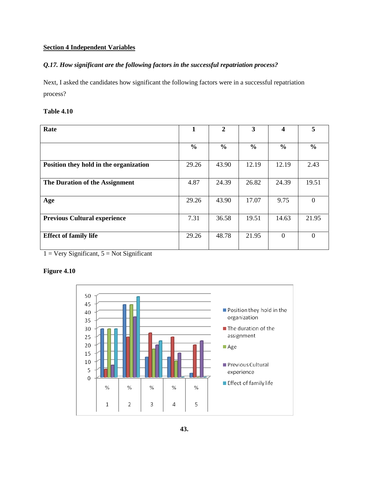# **Section 4 Independent Variables**

# *Q.17. How significant are the following factors in the successful repatriation process?*

Next, I asked the candidates how significant the following factors were in a successful repatriation process?

# **Table 4.10**

| Rate                                   | 1             | $\mathbf{2}$  | 3             | 4             | 5             |
|----------------------------------------|---------------|---------------|---------------|---------------|---------------|
|                                        |               |               |               |               |               |
|                                        | $\frac{6}{6}$ | $\frac{6}{6}$ | $\frac{6}{6}$ | $\frac{6}{9}$ | $\frac{6}{6}$ |
|                                        |               |               |               |               |               |
| Position they hold in the organization | 29.26         | 43.90         | 12.19         | 12.19         | 2.43          |
|                                        |               |               |               |               |               |
| The Duration of the Assignment         | 4.87          | 24.39         | 26.82         | 24.39         | 19.51         |
|                                        |               |               |               |               |               |
| Age                                    | 29.26         | 43.90         | 17.07         | 9.75          | $\Omega$      |
|                                        |               |               |               |               |               |
| <b>Previous Cultural experience</b>    | 7.31          | 36.58         | 19.51         | 14.63         | 21.95         |
|                                        |               |               |               |               |               |
| <b>Effect of family life</b>           | 29.26         | 48.78         | 21.95         | $\Omega$      | $\Omega$      |
|                                        |               |               |               |               |               |

 $1 = \text{Very Significant}, 5 = \text{Not Significant}$ 

# **Figure 4.10**

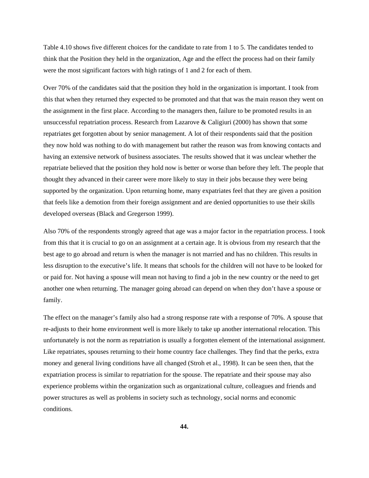Table 4.10 shows five different choices for the candidate to rate from 1 to 5. The candidates tended to think that the Position they held in the organization, Age and the effect the process had on their family were the most significant factors with high ratings of 1 and 2 for each of them.

Over 70% of the candidates said that the position they hold in the organization is important. I took from this that when they returned they expected to be promoted and that that was the main reason they went on the assignment in the first place. According to the managers then, failure to be promoted results in an unsuccessful repatriation process. Research from Lazarove  $\&$  Caligiuri (2000) has shown that some repatriates get forgotten about by senior management. A lot of their respondents said that the position they now hold was nothing to do with management but rather the reason was from knowing contacts and having an extensive network of business associates. The results showed that it was unclear whether the repatriate believed that the position they hold now is better or worse than before they left. The people that thought they advanced in their career were more likely to stay in their jobs because they were being supported by the organization. Upon returning home, many expatriates feel that they are given a position that feels like a demotion from their foreign assignment and are denied opportunities to use their skills developed overseas (Black and Gregerson 1999).

Also 70% of the respondents strongly agreed that age was a major factor in the repatriation process. I took from this that it is crucial to go on an assignment at a certain age. It is obvious from my research that the best age to go abroad and return is when the manager is not married and has no children. This results in less disruption to the executive's life. It means that schools for the children will not have to be looked for or paid for. Not having a spouse will mean not having to find a job in the new country or the need to get another one when returning. The manager going abroad can depend on when they don't have a spouse or family.

The effect on the manager's family also had a strong response rate with a response of 70%. A spouse that re-adjusts to their home environment well is more likely to take up another international relocation. This unfortunately is not the norm as repatriation is usually a forgotten element of the international assignment. Like repatriates, spouses returning to their home country face challenges. They find that the perks, extra money and general living conditions have all changed (Stroh et al., 1998). It can be seen then, that the expatriation process is similar to repatriation for the spouse. The repatriate and their spouse may also experience problems within the organization such as organizational culture, colleagues and friends and power structures as well as problems in society such as technology, social norms and economic conditions.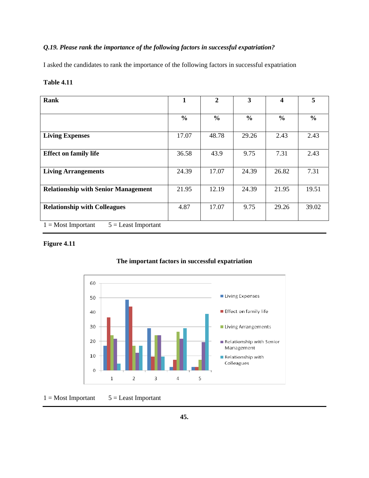# *Q.19. Please rank the importance of the following factors in successful expatriation?*

I asked the candidates to rank the importance of the following factors in successful expatriation

# **Table 4.11**

| Rank                                          | 1             | $\mathbf{2}$  | 3             | 4             | 5             |
|-----------------------------------------------|---------------|---------------|---------------|---------------|---------------|
|                                               |               |               |               |               |               |
|                                               | $\frac{6}{6}$ | $\frac{6}{6}$ | $\frac{0}{0}$ | $\frac{6}{6}$ | $\frac{0}{0}$ |
|                                               |               |               |               |               |               |
| <b>Living Expenses</b>                        | 17.07         | 48.78         | 29.26         | 2.43          | 2.43          |
| <b>Effect on family life</b>                  | 36.58         | 43.9          | 9.75          | 7.31          | 2.43          |
|                                               |               |               |               |               |               |
| <b>Living Arrangements</b>                    | 24.39         | 17.07         | 24.39         | 26.82         | 7.31          |
| <b>Relationship with Senior Management</b>    | 21.95         | 12.19         | 24.39         | 21.95         | 19.51         |
| <b>Relationship with Colleagues</b>           | 4.87          | 17.07         | 9.75          | 29.26         | 39.02         |
|                                               |               |               |               |               |               |
| $5 =$ Least Important<br>$1 = Most Important$ |               |               |               |               |               |

# **Figure 4.11**



## **The important factors in successful expatriation**

 $1 = Most Important 5 = Least Important$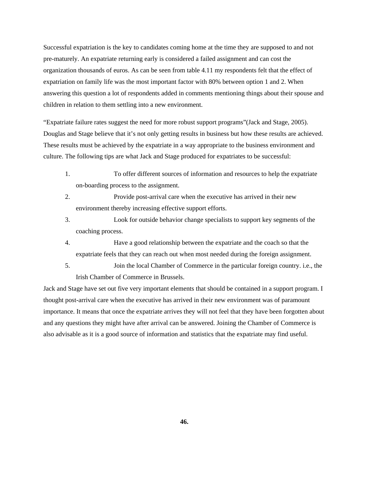Successful expatriation is the key to candidates coming home at the time they are supposed to and not pre-maturely. An expatriate returning early is considered a failed assignment and can cost the organization thousands of euros. As can be seen from table 4.11 my respondents felt that the effect of expatriation on family life was the most important factor with 80% between option 1 and 2. When answering this question a lot of respondents added in comments mentioning things about their spouse and children in relation to them settling into a new environment.

"Expatriate failure rates suggest the need for more robust support programs"(Jack and Stage, 2005). Douglas and Stage believe that it's not only getting results in business but how these results are achieved. These results must be achieved by the expatriate in a way appropriate to the business environment and culture. The following tips are what Jack and Stage produced for expatriates to be successful:

- 1. To offer different sources of information and resources to help the expatriate on-boarding process to the assignment.
- 2. Provide post-arrival care when the executive has arrived in their new environment thereby increasing effective support efforts.
- 3. Look for outside behavior change specialists to support key segments of the coaching process.
- 4. Have a good relationship between the expatriate and the coach so that the expatriate feels that they can reach out when most needed during the foreign assignment.
- 5. Join the local Chamber of Commerce in the particular foreign country. i.e., the Irish Chamber of Commerce in Brussels.

Jack and Stage have set out five very important elements that should be contained in a support program. I thought post-arrival care when the executive has arrived in their new environment was of paramount importance. It means that once the expatriate arrives they will not feel that they have been forgotten about and any questions they might have after arrival can be answered. Joining the Chamber of Commerce is also advisable as it is a good source of information and statistics that the expatriate may find useful.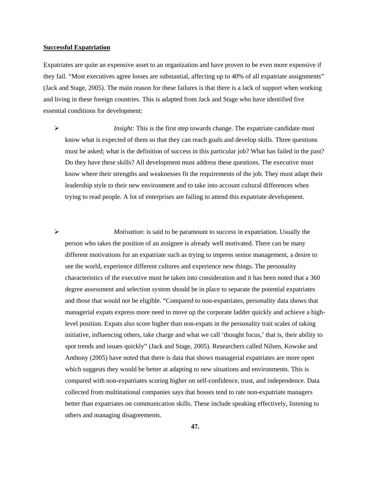#### **Successful Expatriation**

Expatriates are quite an expensive asset to an organization and have proven to be even more expensive if they fail. "Most executives agree losses are substantial, affecting up to 40% of all expatriate assignments" (Jack and Stage, 2005). The main reason for these failures is that there is a lack of support when working and living in these foreign countries. This is adapted from Jack and Stage who have identified five essential conditions for development:

*Insight:* This is the first step towards change. The expatriate candidate must know what is expected of them so that they can reach goals and develop skills. Three questions must be asked; what is the definition of success in this particular job? What has failed in the past? Do they have these skills? All development must address these questions. The executive must know where their strengths and weaknesses fit the requirements of the job. They must adapt their leadership style to their new environment and to take into account cultural differences when trying to read people. A lot of enterprises are failing to attend this expatriate development.

¾ *Motivation*: is said to be paramount to success in expatriation. Usually the person who takes the position of an assignee is already well motivated. There can be many different motivations for an expatriate such as trying to impress senior management, a desire to see the world, experience different cultures and experience new things. The personality characteristics of the executive must be taken into consideration and it has been noted that a 360 degree assessment and selection system should be in place to separate the potential expatriates and those that would not be eligible. "Compared to non-expatriates, personality data shows that managerial expats express more need to move up the corporate ladder quickly and achieve a highlevel position. Expats also score higher than non-expats in the personality trait scales of taking initiative, influencing others, take charge and what we call 'thought focus,' that is, their ability to spot trends and issues quickly" (Jack and Stage, 2005). Researchers called Nilsen, Kowske and Anthony (2005) have noted that there is data that shows managerial expatriates are more open which suggests they would be better at adapting to new situations and environments. This is compared with non-expatriates scoring higher on self-confidence, trust, and independence. Data collected from multinational companies says that bosses tend to rate non-expatriate managers better than expatriates on communication skills. These include speaking effectively, listening to others and managing disagreements.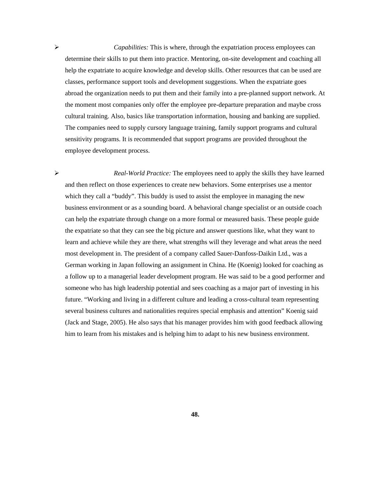¾ *Capabilities:* This is where, through the expatriation process employees can determine their skills to put them into practice. Mentoring, on-site development and coaching all help the expatriate to acquire knowledge and develop skills. Other resources that can be used are classes, performance support tools and development suggestions. When the expatriate goes abroad the organization needs to put them and their family into a pre-planned support network. At the moment most companies only offer the employee pre-departure preparation and maybe cross cultural training. Also, basics like transportation information, housing and banking are supplied. The companies need to supply cursory language training, family support programs and cultural sensitivity programs. It is recommended that support programs are provided throughout the employee development process.

¾ *Real-World Practice:* The employees need to apply the skills they have learned and then reflect on those experiences to create new behaviors. Some enterprises use a mentor which they call a "buddy". This buddy is used to assist the employee in managing the new business environment or as a sounding board. A behavioral change specialist or an outside coach can help the expatriate through change on a more formal or measured basis. These people guide the expatriate so that they can see the big picture and answer questions like, what they want to learn and achieve while they are there, what strengths will they leverage and what areas the need most development in. The president of a company called Sauer-Danfoss-Daikin Ltd., was a German working in Japan following an assignment in China. He (Koenig) looked for coaching as a follow up to a managerial leader development program. He was said to be a good performer and someone who has high leadership potential and sees coaching as a major part of investing in his future. "Working and living in a different culture and leading a cross-cultural team representing several business cultures and nationalities requires special emphasis and attention" Koenig said (Jack and Stage, 2005). He also says that his manager provides him with good feedback allowing him to learn from his mistakes and is helping him to adapt to his new business environment.

**48.**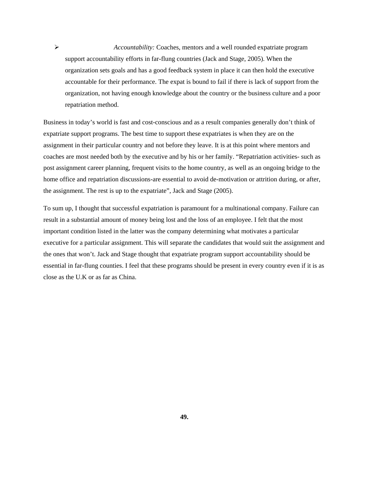¾ *Accountability:* Coaches, mentors and a well rounded expatriate program support accountability efforts in far-flung countries (Jack and Stage, 2005). When the organization sets goals and has a good feedback system in place it can then hold the executive accountable for their performance. The expat is bound to fail if there is lack of support from the organization, not having enough knowledge about the country or the business culture and a poor repatriation method.

Business in today's world is fast and cost-conscious and as a result companies generally don't think of expatriate support programs. The best time to support these expatriates is when they are on the assignment in their particular country and not before they leave. It is at this point where mentors and coaches are most needed both by the executive and by his or her family. "Repatriation activities- such as post assignment career planning, frequent visits to the home country, as well as an ongoing bridge to the home office and repatriation discussions-are essential to avoid de-motivation or attrition during, or after, the assignment. The rest is up to the expatriate", Jack and Stage (2005).

To sum up, I thought that successful expatriation is paramount for a multinational company. Failure can result in a substantial amount of money being lost and the loss of an employee. I felt that the most important condition listed in the latter was the company determining what motivates a particular executive for a particular assignment. This will separate the candidates that would suit the assignment and the ones that won't. Jack and Stage thought that expatriate program support accountability should be essential in far-flung counties. I feel that these programs should be present in every country even if it is as close as the U.K or as far as China.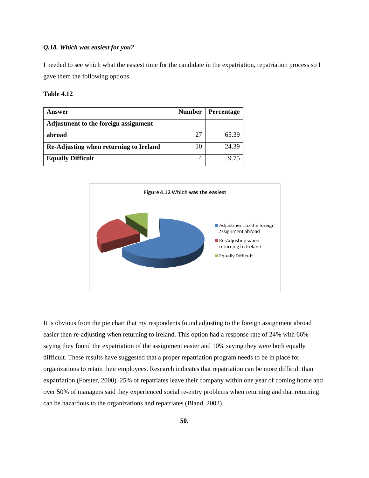# *Q.18. Which was easiest for you?*

I needed to see which what the easiest time for the candidate in the expatriation, repatriation process so I gave them the following options.

## **Table 4.12**

| Answer                                 | <b>Number</b> | Percentage |
|----------------------------------------|---------------|------------|
| Adjustment to the foreign assignment   |               |            |
| abroad                                 | 27            | 65.39      |
| Re-Adjusting when returning to Ireland | 10            | 24.39      |
| <b>Equally Difficult</b>               |               | 9 75       |



It is obvious from the pie chart that my respondents found adjusting to the foreign assignment abroad easier then re-adjusting when returning to Ireland. This option had a response rate of 24% with 66% saying they found the expatriation of the assignment easier and 10% saying they were both equally difficult. These results have suggested that a proper repatriation program needs to be in place for organizations to retain their employees. Research indicates that repatriation can be more difficult than expatriation (Forster, 2000). 25% of repatriates leave their company within one year of coming home and over 50% of managers said they experienced social re-entry problems when returning and that returning can be hazardous to the organizations and repatriates (Bland, 2002).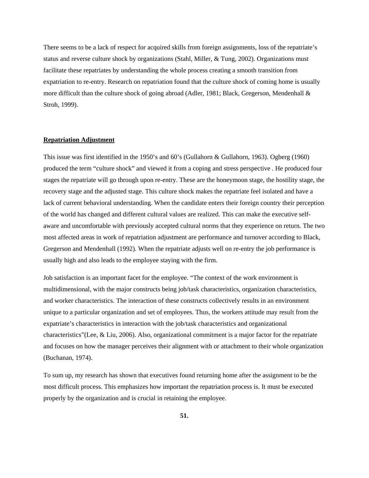There seems to be a lack of respect for acquired skills from foreign assignments, loss of the repatriate's status and reverse culture shock by organizations (Stahl, Miller, & Tung, 2002). Organizations must facilitate these repatriates by understanding the whole process creating a smooth transition from expatriation to re-entry. Research on repatriation found that the culture shock of coming home is usually more difficult than the culture shock of going abroad (Adler, 1981; Black, Gregerson, Mendenhall & Stroh, 1999).

# **Repatriation Adjustment**

This issue was first identified in the 1950's and 60's (Gullahorn & Gullahorn, 1963). Ogberg (1960) produced the term "culture shock" and viewed it from a coping and stress perspective . He produced four stages the repatriate will go through upon re-entry. These are the honeymoon stage, the hostility stage, the recovery stage and the adjusted stage. This culture shock makes the repatriate feel isolated and have a lack of current behavioral understanding. When the candidate enters their foreign country their perception of the world has changed and different cultural values are realized. This can make the executive selfaware and uncomfortable with previously accepted cultural norms that they experience on return. The two most affected areas in work of repatriation adjustment are performance and turnover according to Black, Gregerson and Mendenhall (1992). When the repatriate adjusts well on re-entry the job performance is usually high and also leads to the employee staying with the firm.

Job satisfaction is an important facet for the employee. "The context of the work environment is multidimensional, with the major constructs being job/task characteristics, organization characteristics, and worker characteristics. The interaction of these constructs collectively results in an environment unique to a particular organization and set of employees. Thus, the workers attitude may result from the expatriate's characteristics in interaction with the job/task characteristics and organizational characteristics"(Lee, & Liu, 2006). Also, organizational commitment is a major factor for the repatriate and focuses on how the manager perceives their alignment with or attachment to their whole organization (Buchanan, 1974).

To sum up, my research has shown that executives found returning home after the assignment to be the most difficult process. This emphasizes how important the repatriation process is. It must be executed properly by the organization and is crucial in retaining the employee.

**51.**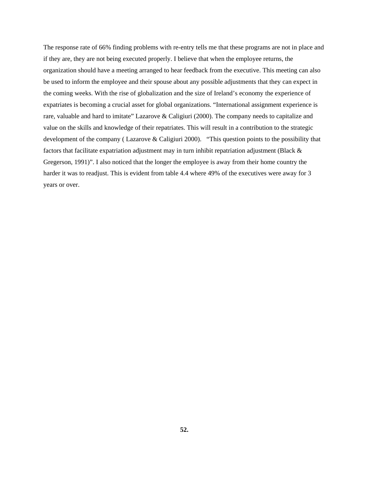The response rate of 66% finding problems with re-entry tells me that these programs are not in place and if they are, they are not being executed properly. I believe that when the employee returns, the organization should have a meeting arranged to hear feedback from the executive. This meeting can also be used to inform the employee and their spouse about any possible adjustments that they can expect in the coming weeks. With the rise of globalization and the size of Ireland's economy the experience of expatriates is becoming a crucial asset for global organizations. "International assignment experience is rare, valuable and hard to imitate" Lazarove & Caligiuri (2000). The company needs to capitalize and value on the skills and knowledge of their repatriates. This will result in a contribution to the strategic development of the company (Lazarove & Caligiuri 2000). "This question points to the possibility that factors that facilitate expatriation adjustment may in turn inhibit repatriation adjustment (Black & Gregerson, 1991)". I also noticed that the longer the employee is away from their home country the harder it was to readjust. This is evident from table 4.4 where 49% of the executives were away for 3 years or over.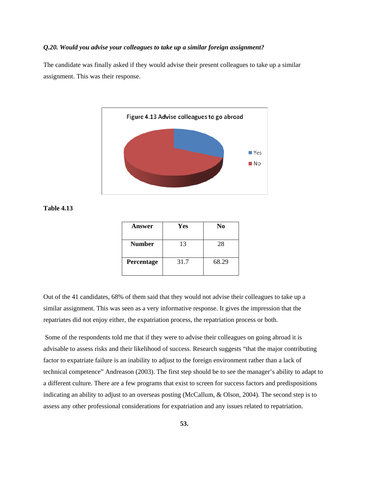### *Q.20. Would you advise your colleagues to take up a similar foreign assignment?*

The candidate was finally asked if they would advise their present colleagues to take up a similar assignment. This was their response.



**Table 4.13** 

| Answer        | Yes  | N <sub>0</sub> |  |  |
|---------------|------|----------------|--|--|
| <b>Number</b> | 13   | 28             |  |  |
| Percentage    | 31.7 | 68.29          |  |  |

Out of the 41 candidates, 68% of them said that they would not advise their colleagues to take up a similar assignment. This was seen as a very informative response. It gives the impression that the repatriates did not enjoy either, the expatriation process, the repatriation process or both.

 Some of the respondents told me that if they were to advise their colleagues on going abroad it is advisable to assess risks and their likelihood of success. Research suggests "that the major contributing factor to expatriate failure is an inability to adjust to the foreign environment rather than a lack of technical competence" Andreason (2003). The first step should be to see the manager's ability to adapt to a different culture. There are a few programs that exist to screen for success factors and predispositions indicating an ability to adjust to an overseas posting (McCallum, & Olson, 2004). The second step is to assess any other professional considerations for expatriation and any issues related to repatriation.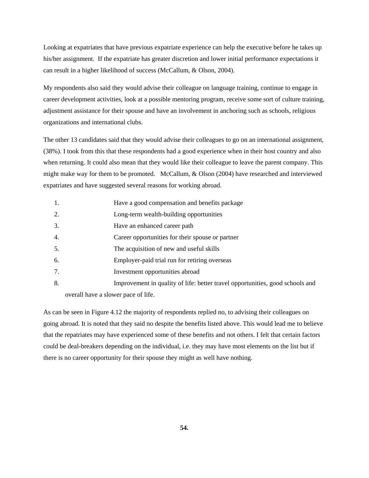Looking at expatriates that have previous expatriate experience can help the executive before he takes up his/her assignment. If the expatriate has greater discretion and lower initial performance expectations it can result in a higher likelihood of success (McCallum, & Olson, 2004).

My respondents also said they would advise their colleague on language training, continue to engage in career development activities, look at a possible mentoring program, receive some sort of culture training, adjustment assistance for their spouse and have an involvement in anchoring such as schools, religious organizations and international clubs.

The other 13 candidates said that they would advise their colleagues to go on an international assignment, (38%). I took from this that these respondents had a good experience when in their host country and also when returning. It could also mean that they would like their colleague to leave the parent company. This might make way for them to be promoted. McCallum, & Olson (2004) have researched and interviewed expatriates and have suggested several reasons for working abroad.

- 1. Have a good compensation and benefits package
- 2. Long-term wealth-building opportunities
- 3. Have an enhanced career path
- 4. Career opportunities for their spouse or partner
- 5. The acquisition of new and useful skills
- 6. Employer-paid trial run for retiring overseas
- 7. Investment opportunities abroad
- 8. Improvement in quality of life: better travel opportunities, good schools and overall have a slower pace of life.

As can be seen in Figure 4.12 the majority of respondents replied no, to advising their colleagues on going abroad. It is noted that they said no despite the benefits listed above. This would lead me to believe that the repatriates may have experienced some of these benefits and not others. I felt that certain factors could be deal-breakers depending on the individual, i.e. they may have most elements on the list but if there is no career opportunity for their spouse they might as well have nothing.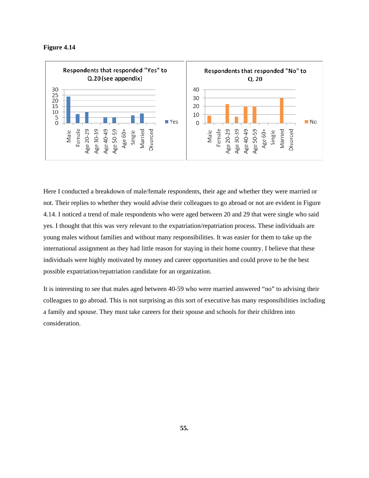



Here I conducted a breakdown of male/female respondents, their age and whether they were married or not. Their replies to whether they would advise their colleagues to go abroad or not are evident in Figure 4.14. I noticed a trend of male respondents who were aged between 20 and 29 that were single who said yes. I thought that this was very relevant to the expatriation/repatriation process. These individuals are young males without families and without many responsibilities. It was easier for them to take up the international assignment as they had little reason for staying in their home country. I believe that these individuals were highly motivated by money and career opportunities and could prove to be the best possible expatriation/repatriation candidate for an organization.

It is interesting to see that males aged between 40-59 who were married answered "no" to advising their colleagues to go abroad. This is not surprising as this sort of executive has many responsibilities including a family and spouse. They must take careers for their spouse and schools for their children into consideration.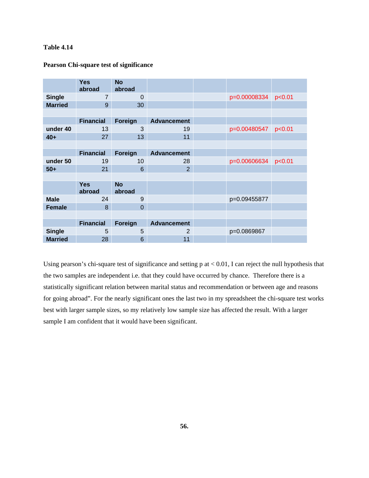# **Table 4.14**

|                | <b>Yes</b><br>abroad | <b>No</b><br>abroad |                    |              |        |
|----------------|----------------------|---------------------|--------------------|--------------|--------|
| <b>Single</b>  | $\overline{7}$       | 0                   |                    | p=0.00008334 | p<0.01 |
| <b>Married</b> | 9                    | 30                  |                    |              |        |
|                |                      |                     |                    |              |        |
|                | <b>Financial</b>     | <b>Foreign</b>      | <b>Advancement</b> |              |        |
| under 40       | 13                   | 3                   | 19                 | p=0.00480547 | p<0.01 |
| $40+$          | 27                   | 13                  | 11                 |              |        |
|                |                      |                     |                    |              |        |
|                | <b>Financial</b>     | Foreign             | <b>Advancement</b> |              |        |
| under 50       | 19                   | 10                  | 28                 | p=0.00606634 | p<0.01 |
| $50+$          | 21                   | 6                   | $\overline{2}$     |              |        |
|                |                      |                     |                    |              |        |
|                | <b>Yes</b><br>abroad | <b>No</b><br>abroad |                    |              |        |
| <b>Male</b>    | 24                   | 9                   |                    | p=0.09455877 |        |
| <b>Female</b>  | 8                    | $\overline{0}$      |                    |              |        |
|                |                      |                     |                    |              |        |
|                | <b>Financial</b>     | Foreign             | <b>Advancement</b> |              |        |
| <b>Single</b>  | 5                    | 5                   | $\overline{2}$     | p=0.0869867  |        |
| <b>Married</b> | 28                   | 6                   | 11                 |              |        |

## **Pearson Chi-square test of significance**

Using pearson's chi-square test of significance and setting p at < 0.01, I can reject the null hypothesis that the two samples are independent i.e. that they could have occurred by chance. Therefore there is a statistically significant relation between marital status and recommendation or between age and reasons for going abroad". For the nearly significant ones the last two in my spreadsheet the chi-square test works best with larger sample sizes, so my relatively low sample size has affected the result. With a larger sample I am confident that it would have been significant.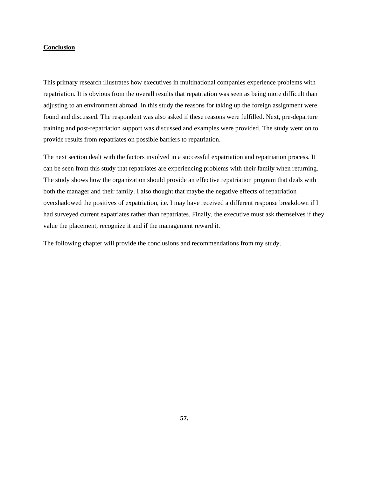### **Conclusion**

This primary research illustrates how executives in multinational companies experience problems with repatriation. It is obvious from the overall results that repatriation was seen as being more difficult than adjusting to an environment abroad. In this study the reasons for taking up the foreign assignment were found and discussed. The respondent was also asked if these reasons were fulfilled. Next, pre-departure training and post-repatriation support was discussed and examples were provided. The study went on to provide results from repatriates on possible barriers to repatriation.

The next section dealt with the factors involved in a successful expatriation and repatriation process. It can be seen from this study that repatriates are experiencing problems with their family when returning. The study shows how the organization should provide an effective repatriation program that deals with both the manager and their family. I also thought that maybe the negative effects of repatriation overshadowed the positives of expatriation, i.e. I may have received a different response breakdown if I had surveyed current expatriates rather than repatriates. Finally, the executive must ask themselves if they value the placement, recognize it and if the management reward it.

The following chapter will provide the conclusions and recommendations from my study.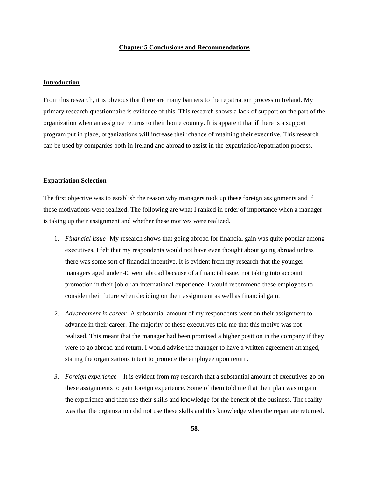#### **Chapter 5 Conclusions and Recommendations**

#### **Introduction**

From this research, it is obvious that there are many barriers to the repatriation process in Ireland. My primary research questionnaire is evidence of this. This research shows a lack of support on the part of the organization when an assignee returns to their home country. It is apparent that if there is a support program put in place, organizations will increase their chance of retaining their executive. This research can be used by companies both in Ireland and abroad to assist in the expatriation/repatriation process.

#### **Expatriation Selection**

The first objective was to establish the reason why managers took up these foreign assignments and if these motivations were realized. The following are what I ranked in order of importance when a manager is taking up their assignment and whether these motives were realized.

- 1. *Financial issue-* My research shows that going abroad for financial gain was quite popular among executives. I felt that my respondents would not have even thought about going abroad unless there was some sort of financial incentive. It is evident from my research that the younger managers aged under 40 went abroad because of a financial issue, not taking into account promotion in their job or an international experience. I would recommend these employees to consider their future when deciding on their assignment as well as financial gain.
- *2. Advancement in career-* A substantial amount of my respondents went on their assignment to advance in their career. The majority of these executives told me that this motive was not realized. This meant that the manager had been promised a higher position in the company if they were to go abroad and return. I would advise the manager to have a written agreement arranged, stating the organizations intent to promote the employee upon return.
- *3. Foreign experience –* It is evident from my research that a substantial amount of executives go on these assignments to gain foreign experience. Some of them told me that their plan was to gain the experience and then use their skills and knowledge for the benefit of the business. The reality was that the organization did not use these skills and this knowledge when the repatriate returned.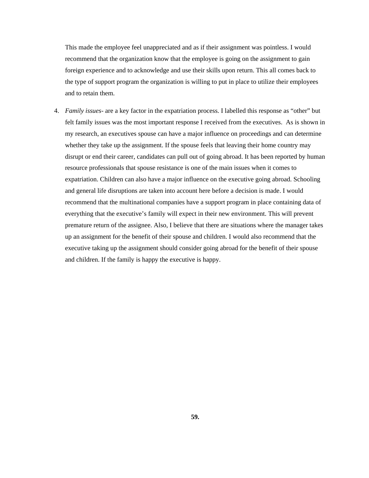This made the employee feel unappreciated and as if their assignment was pointless. I would recommend that the organization know that the employee is going on the assignment to gain foreign experience and to acknowledge and use their skills upon return. This all comes back to the type of support program the organization is willing to put in place to utilize their employees and to retain them.

4. *Family issues-* are a key factor in the expatriation process. I labelled this response as "other" but felt family issues was the most important response I received from the executives. As is shown in my research, an executives spouse can have a major influence on proceedings and can determine whether they take up the assignment. If the spouse feels that leaving their home country may disrupt or end their career, candidates can pull out of going abroad. It has been reported by human resource professionals that spouse resistance is one of the main issues when it comes to expatriation. Children can also have a major influence on the executive going abroad. Schooling and general life disruptions are taken into account here before a decision is made. I would recommend that the multinational companies have a support program in place containing data of everything that the executive's family will expect in their new environment. This will prevent premature return of the assignee. Also, I believe that there are situations where the manager takes up an assignment for the benefit of their spouse and children. I would also recommend that the executive taking up the assignment should consider going abroad for the benefit of their spouse and children. If the family is happy the executive is happy.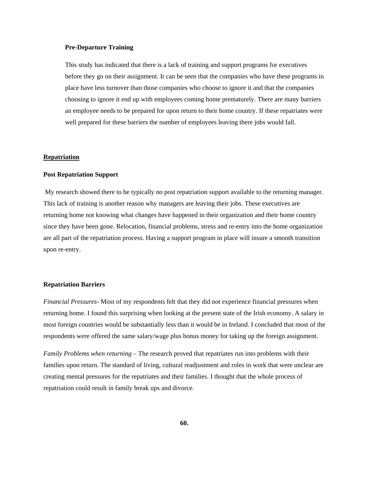#### **Pre-Departure Training**

This study has indicated that there is a lack of training and support programs for executives before they go on their assignment. It can be seen that the companies who have these programs in place have less turnover than those companies who choose to ignore it and that the companies choosing to ignore it end up with employees coming home prematurely. There are many barriers an employee needs to be prepared for upon return to their home country. If these repatriates were well prepared for these barriers the number of employees leaving there jobs would fall.

# **Repatriation**

#### **Post Repatriation Support**

 My research showed there to be typically no post repatriation support available to the returning manager. This lack of training is another reason why managers are leaving their jobs. These executives are returning home not knowing what changes have happened in their organization and their home country since they have been gone. Relocation, financial problems, stress and re-entry into the home organization are all part of the repatriation process. Having a support program in place will insure a smooth transition upon re-entry.

#### **Repatriation Barriers**

*Financial Pressures*- Most of my respondents felt that they did not experience financial pressures when returning home. I found this surprising when looking at the present state of the Irish economy. A salary in most foreign countries would be substantially less than it would be in Ireland. I concluded that most of the respondents were offered the same salary/wage plus bonus money for taking up the foreign assignment.

*Family Problems when returning –* The research proved that repatriates run into problems with their families upon return. The standard of living, cultural readjustment and roles in work that were unclear are creating mental pressures for the repatriates and their families. I thought that the whole process of repatriation could result in family break ups and divorce.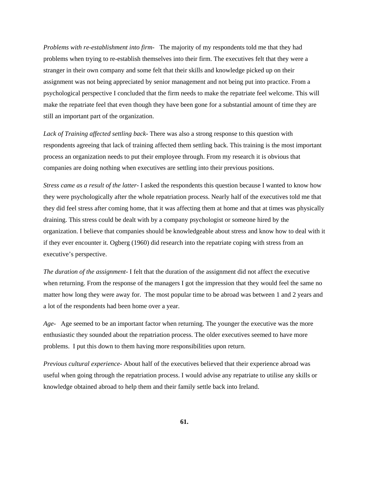*Problems with re-establishment into firm-* The majority of my respondents told me that they had problems when trying to re-establish themselves into their firm. The executives felt that they were a stranger in their own company and some felt that their skills and knowledge picked up on their assignment was not being appreciated by senior management and not being put into practice. From a psychological perspective I concluded that the firm needs to make the repatriate feel welcome. This will make the repatriate feel that even though they have been gone for a substantial amount of time they are still an important part of the organization.

*Lack of Training affected settling back*- There was also a strong response to this question with respondents agreeing that lack of training affected them settling back. This training is the most important process an organization needs to put their employee through. From my research it is obvious that companies are doing nothing when executives are settling into their previous positions.

*Stress came as a result of the latter-* I asked the respondents this question because I wanted to know how they were psychologically after the whole repatriation process. Nearly half of the executives told me that they did feel stress after coming home, that it was affecting them at home and that at times was physically draining. This stress could be dealt with by a company psychologist or someone hired by the organization. I believe that companies should be knowledgeable about stress and know how to deal with it if they ever encounter it. Ogberg (1960) did research into the repatriate coping with stress from an executive's perspective.

*The duration of the assignment-* I felt that the duration of the assignment did not affect the executive when returning. From the response of the managers I got the impression that they would feel the same no matter how long they were away for. The most popular time to be abroad was between 1 and 2 years and a lot of the respondents had been home over a year.

*Age-* Age seemed to be an important factor when returning. The younger the executive was the more enthusiastic they sounded about the repatriation process. The older executives seemed to have more problems. I put this down to them having more responsibilities upon return.

*Previous cultural experience*- About half of the executives believed that their experience abroad was useful when going through the repatriation process. I would advise any repatriate to utilise any skills or knowledge obtained abroad to help them and their family settle back into Ireland.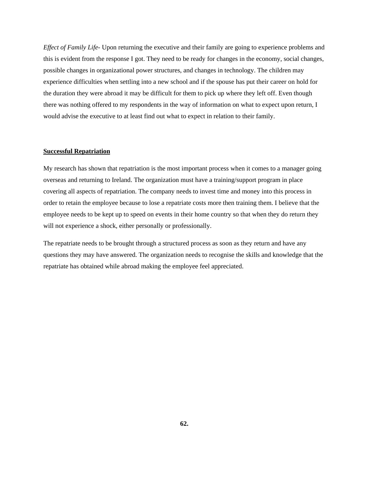*Effect of Family Life*- Upon returning the executive and their family are going to experience problems and this is evident from the response I got. They need to be ready for changes in the economy, social changes, possible changes in organizational power structures, and changes in technology. The children may experience difficulties when settling into a new school and if the spouse has put their career on hold for the duration they were abroad it may be difficult for them to pick up where they left off. Even though there was nothing offered to my respondents in the way of information on what to expect upon return, I would advise the executive to at least find out what to expect in relation to their family.

#### **Successful Repatriation**

My research has shown that repatriation is the most important process when it comes to a manager going overseas and returning to Ireland. The organization must have a training/support program in place covering all aspects of repatriation. The company needs to invest time and money into this process in order to retain the employee because to lose a repatriate costs more then training them. I believe that the employee needs to be kept up to speed on events in their home country so that when they do return they will not experience a shock, either personally or professionally.

The repatriate needs to be brought through a structured process as soon as they return and have any questions they may have answered. The organization needs to recognise the skills and knowledge that the repatriate has obtained while abroad making the employee feel appreciated.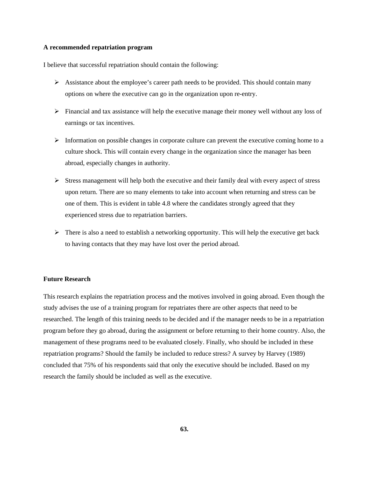#### **A recommended repatriation program**

I believe that successful repatriation should contain the following:

- $\triangleright$  Assistance about the employee's career path needs to be provided. This should contain many options on where the executive can go in the organization upon re-entry.
- $\triangleright$  Financial and tax assistance will help the executive manage their money well without any loss of earnings or tax incentives.
- $\triangleright$  Information on possible changes in corporate culture can prevent the executive coming home to a culture shock. This will contain every change in the organization since the manager has been abroad, especially changes in authority.
- $\triangleright$  Stress management will help both the executive and their family deal with every aspect of stress upon return. There are so many elements to take into account when returning and stress can be one of them. This is evident in table 4.8 where the candidates strongly agreed that they experienced stress due to repatriation barriers.
- $\triangleright$  There is also a need to establish a networking opportunity. This will help the executive get back to having contacts that they may have lost over the period abroad.

### **Future Research**

This research explains the repatriation process and the motives involved in going abroad. Even though the study advises the use of a training program for repatriates there are other aspects that need to be researched. The length of this training needs to be decided and if the manager needs to be in a repatriation program before they go abroad, during the assignment or before returning to their home country. Also, the management of these programs need to be evaluated closely. Finally, who should be included in these repatriation programs? Should the family be included to reduce stress? A survey by Harvey (1989) concluded that 75% of his respondents said that only the executive should be included. Based on my research the family should be included as well as the executive.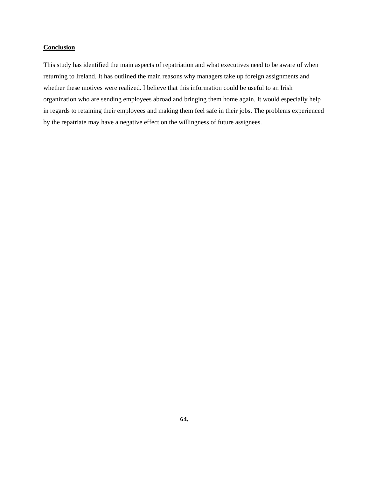# **Conclusion**

This study has identified the main aspects of repatriation and what executives need to be aware of when returning to Ireland. It has outlined the main reasons why managers take up foreign assignments and whether these motives were realized. I believe that this information could be useful to an Irish organization who are sending employees abroad and bringing them home again. It would especially help in regards to retaining their employees and making them feel safe in their jobs. The problems experienced by the repatriate may have a negative effect on the willingness of future assignees.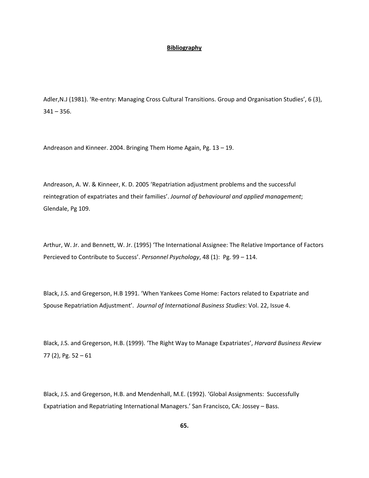#### **Bibliography**

Adler, N.J (1981). 'Re-entry: Managing Cross Cultural Transitions. Group and Organisation Studies', 6 (3),  $341 - 356$ .

Andreason and Kinneer. 2004. Bringing Them Home Again, Pg. 13 – 19.

Andreason, A. W. & Kinneer, K. D. 2005 'Repatriation adjustment problems and the successful reintegration of expatriates and their families'. *Journal of behavioural and applied management*; Glendale, Pg 109.

Arthur, W. Jr. and Bennett, W. Jr. (1995) 'The International Assignee: The Relative Importance of Factors Percieved to Contribute to Success'. *Personnel Psychology*, 48 (1): Pg. 99 – 114.

Black, J.S. and Gregerson, H.B 1991. 'When Yankees Come Home: Factors related to Expatriate and Spouse Repatriation Adjustment'. *Journal of International Business Studies*: Vol. 22, Issue 4.

Black, J.S. and Gregerson, H.B. (1999). 'The Right Way to Manage Expatriates', *Harvard Business Review* 77 (2), Pg. 52 – 61

Black, J.S. and Gregerson, H.B. and Mendenhall, M.E. (1992). 'Global Assignments: Successfully Expatriation and Repatriating International Managers.' San Francisco, CA: Jossey – Bass.

**65.**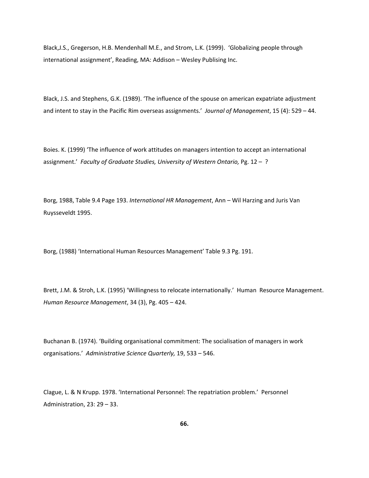Black,J.S., Gregerson, H.B. Mendenhall M.E., and Strom, L.K. (1999). 'Globalizing people through international assignment', Reading, MA: Addison – Wesley Publising Inc.

Black, J.S. and Stephens, G.K. (1989). 'The influence of the spouse on american expatriate adjustment and intent to stay in the Pacific Rim overseas assignments.' *Journal of Management*, 15 (4): 529 – 44.

Boies. K. (1999) 'The influence of work attitudes on managers intention to accept an international assignment.' *Faculty of Graduate Studies, University of Western Ontario,* Pg. 12 – ?

Borg, 1988, Table 9.4 Page 193. *International HR Management*, Ann – Wil Harzing and Juris Van Ruysseveldt 1995.

Borg, (1988) 'International Human Resources Management' Table 9.3 Pg. 191.

Brett, J.M. & Stroh, L.K. (1995) 'Willingness to relocate internationally.' Human Resource Management. *Human Resource Management*, 34 (3), Pg. 405 – 424.

Buchanan B. (1974). 'Building organisational commitment: The socialisation of managers in work organisations.' *Administrative Science Quarterly,* 19, 533 – 546.

Clague, L. & N Krupp. 1978. 'International Personnel: The repatriation problem.' Personnel Administration, 23: 29 – 33.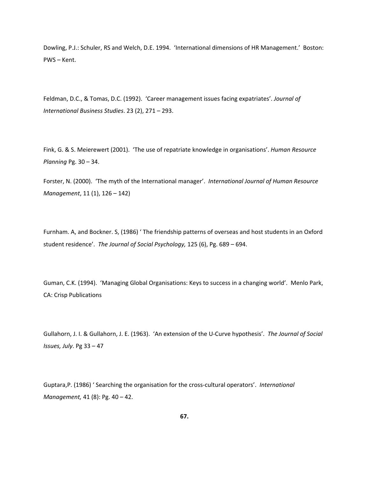Dowling, P.J.: Schuler, RS and Welch, D.E. 1994. 'International dimensions of HR Management.' Boston: PWS – Kent.

Feldman, D.C., & Tomas, D.C. (1992). 'Career management issues facing expatriates'. *Journal of International Business Studies*. 23 (2), 271 – 293.

Fink, G. & S. Meierewert (2001). 'The use of repatriate knowledge in organisations'. *Human Resource Planning* Pg. 30 – 34.

Forster, N. (2000). 'The myth of the International manager'. *International Journal of Human Resource Management*, 11 (1), 126 – 142)

Furnham. A, and Bockner. S, (1986) ' The friendship patterns of overseas and host students in an Oxford student residence'. *The Journal of Social Psychology,* 125 (6), Pg. 689 – 694.

Guman, C.K. (1994). 'Managing Global Organisations: Keys to success in a changing world'. Menlo Park, CA: Crisp Publications

Gullahorn, J. I. & Gullahorn, J. E. (1963). 'An extension of the U‐Curve hypothesis'. *The Journal of Social Issues, July*. Pg 33 – 47

Guptara,P. (1986) ' Searching the organisation for the cross‐cultural operators'. *International Management,* 41 (8): Pg. 40 – 42.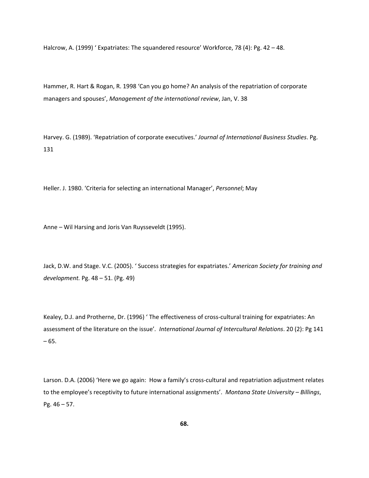Halcrow, A. (1999) ' Expatriates: The squandered resource' Workforce, 78 (4): Pg. 42 – 48.

Hammer, R. Hart & Rogan, R. 1998 'Can you go home? An analysis of the repatriation of corporate managers and spouses', *Management of the international review*, Jan, V. 38

Harvey. G. (1989). 'Repatriation of corporate executives.' *Journal of International Business Studies*. Pg. 131

Heller. J. 1980. 'Criteria for selecting an international Manager', *Personnel*; May

Anne – Wil Harsing and Joris Van Ruysseveldt (1995).

Jack, D.W. and Stage. V.C. (2005). ' Success strategies for expatriates.' *American Society for training and development.* Pg. 48 – 51. (Pg. 49)

Kealey, D.J. and Protherne, Dr. (1996) 'The effectiveness of cross-cultural training for expatriates: An assessment of the literature on the issue'*. International Journal of Intercultural Relations*. 20 (2): Pg 141 – 65.

Larson. D.A. (2006) 'Here we go again: How a family's cross-cultural and repatriation adjustment relates to the employee's receptivity to future international assignments'. *Montana State University – Billings*, Pg. 46 – 57.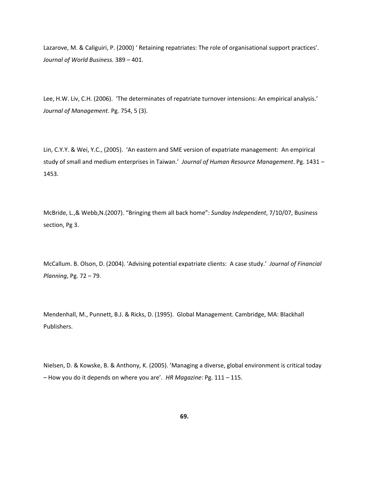Lazarove, M. & Caliguiri, P. (2000) ' Retaining repatriates: The role of organisational support practices'. *Journal of World Business.* 389 – 401.

Lee, H.W. Liv, C.H. (2006). 'The determinates of repatriate turnover intensions: An empirical analysis.' *Journal of Management*. Pg. 754, 5 (3).

Lin, C.Y.Y. & Wei, Y.C., (2005). 'An eastern and SME version of expatriate management: An empirical study of small and medium enterprises in Taiwan.' *Journal of Human Resource Management*. Pg. 1431 – 1453.

McBride, L.,& Webb,N.(2007). "Bringing them all back home": *Sunday Independent*, 7/10/07, Business section, Pg 3.

McCallum. B. Olson, D. (2004). 'Advising potential expatriate clients: A case study.' *Journal of Financial Planning*, Pg. 72 – 79.

Mendenhall, M., Punnett, B.J. & Ricks, D. (1995). Global Management. Cambridge, MA: Blackhall Publishers.

Nielsen, D. & Kowske, B. & Anthony, K. (2005). 'Managing a diverse, global environment is critical today – How you do it depends on where you are'. *HR Magazine*: Pg. 111 – 115.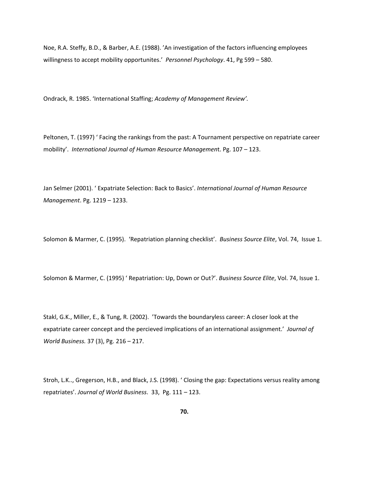Noe, R.A. Steffy, B.D., & Barber, A.E. (1988). 'An investigation of the factors influencing employees willingness to accept mobility opportunites.' *Personnel Psychology*. 41, Pg 599 – 580.

Ondrack, R. 1985. 'International Staffing; *Academy of Management Review'.*

Peltonen, T. (1997) ' Facing the rankings from the past: A Tournament perspective on repatriate career mobility'. *International Journal of Human Resource Managemen*t. Pg. 107 – 123.

Jan Selmer (2001). ' Expatriate Selection: Back to Basics'. *International Journal of Human Resource Management*. Pg. 1219 – 1233.

Solomon & Marmer, C. (1995). 'Repatriation planning checklist'. *Business Source Elite*, Vol. 74, Issue 1.

Solomon & Marmer, C. (1995) ' Repatriation: Up, Down or Out?'. *Business Source Elite*, Vol. 74, Issue 1.

Stakl, G.K., Miller, E., & Tung, R. (2002). 'Towards the boundaryless career: A closer look at the expatriate career concept and the percieved implications of an international assignment.' *Journal of World Business.* 37 (3), Pg. 216 – 217.

Stroh, L.K.., Gregerson, H.B., and Black, J.S. (1998). ' Closing the gap: Expectations versus reality among repatriates'. *Journal of World Business*. 33, Pg. 111 – 123.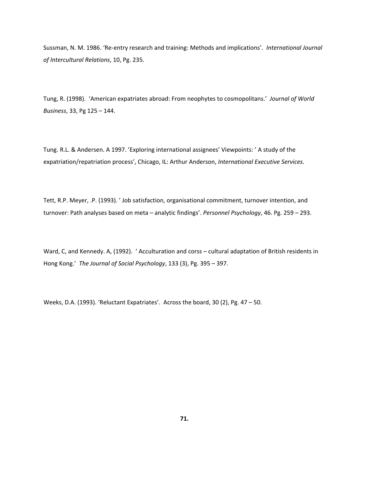Sussman, N. M. 1986. 'Re‐entry research and training: Methods and implications'. *International Journal of Intercultural Relations*, 10, Pg. 235.

Tung, R. (1998). 'American expatriates abroad: From neophytes to cosmopolitans.' *Journal of World Business*, 33, Pg 125 – 144.

Tung. R.L. & Andersen. A 1997. 'Exploring international assignees' Viewpoints: ' A study of the expatriation/repatriation process', Chicago, IL: Arthur Anderson, *International Executive Services.*

Tett, R.P. Meyer, .P. (1993). ' Job satisfaction, organisational commitment, turnover intention, and turnover: Path analyses based on meta – analytic findings'. *Personnel Psychology*, 46. Pg. 259 – 293.

Ward, C, and Kennedy. A, (1992). ' Acculturation and corss – cultural adaptation of British residents in Hong Kong.' *The Journal of Social Psychology*, 133 (3), Pg. 395 – 397.

Weeks, D.A. (1993). 'Reluctant Expatriates'. Across the board, 30 (2), Pg. 47 – 50.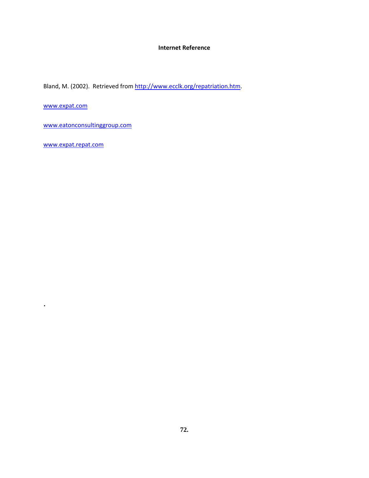#### **Internet Reference**

Bland, M. (2002). Retrieved from <http://www.ecclk.org/repatriation.htm>.

[www.expat.com](http://www.expat.com/)

[www.eatonconsultinggroup.com](http://www.eatonconsultinggroup.com/)

[www.expat.repat.com](http://www.expat.repat.com/)

.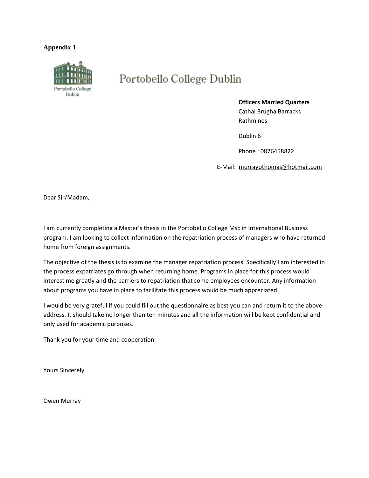#### **Appendix 1**



# Portobello College Dublin

#### **Officers Married Quarters**

 Cathal Brugha Barracks Rathmines

Dublin 6

Phone : 0876458822

E‐Mail: murrayothomas@hotmail.com

Dear Sir/Madam,

I am currently completing a Master's thesis in the Portobello College Msc in International Business program. I am looking to collect information on the repatriation process of managers who have returned home from foreign assignments.

The objective of the thesis is to examine the manager repatriation process. Specifically I am interested in the process expatriates go through when returning home. Programs in place for this process would interest me greatly and the barriers to repatriation that some employees encounter. Any information about programs you have in place to facilitate this process would be much appreciated.

I would be very grateful if you could fill out the questionnaire as best you can and return it to the above address. It should take no longer than ten minutes and all the information will be kept confidential and only used for academic purposes.

Thank you for your time and cooperation

Yours Sincerely

Owen Murray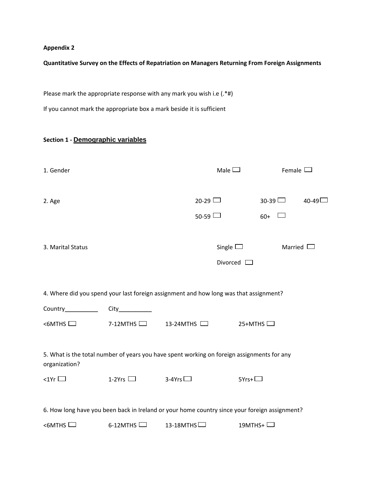## **Appendix 2**

## **Quantitative Survey on the Effects of Repatriation on Managers Returning From Foreign Assignments**

Please mark the appropriate response with any mark you wish i.e (.\*#)

If you cannot mark the appropriate box a mark beside it is sufficient

## **Section 1 ‐ Demographic variables**

| 1. Gender                                                                                                   |                                  |                  | Male $\Box$       | Female $\Box$  |           |
|-------------------------------------------------------------------------------------------------------------|----------------------------------|------------------|-------------------|----------------|-----------|
| 2. Age                                                                                                      |                                  | $20-29$ $\Box$   |                   | $30-39$ $\Box$ | $40 - 49$ |
|                                                                                                             |                                  | $50-59$ $\Box$   |                   | $60+$          |           |
| 3. Marital Status                                                                                           |                                  |                  | Single $\Box$     | Married $\Box$ |           |
|                                                                                                             |                                  |                  | Divorced $\Box$   |                |           |
| 4. Where did you spend your last foreign assignment and how long was that assignment?                       |                                  |                  |                   |                |           |
| Country__________                                                                                           |                                  |                  |                   |                |           |
| $<$ 6MTHS $\Box$                                                                                            | 7-12MTHS $\Box$ 13-24MTHS $\Box$ |                  | $25+MTHS$         |                |           |
| 5. What is the total number of years you have spent working on foreign assignments for any<br>organization? |                                  |                  |                   |                |           |
| $\lt1$ Yr $\Box$                                                                                            | 1-2Yrs $\Box$                    | 3-4Yrs $\Box$    | $5Yrs + \Box$     |                |           |
| 6. How long have you been back in Ireland or your home country since your foreign assignment?               |                                  |                  |                   |                |           |
| <6MTHS                                                                                                      | $6-12$ MTHS                      | 13-18MTHS $\Box$ | 19MTHS+ $\square$ |                |           |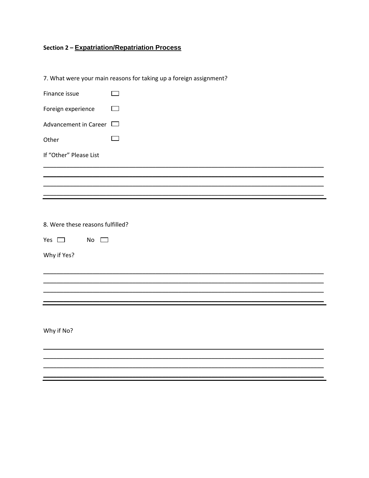# Section 2 - Expatriation/Repatriation Process

7. What were your main reasons for taking up a foreign assignment?

| Finance issue                    |     |  |
|----------------------------------|-----|--|
| Foreign experience               |     |  |
| Advancement in Career $\Box$     |     |  |
| Other                            | a s |  |
| If "Other" Please List           |     |  |
|                                  |     |  |
|                                  |     |  |
|                                  |     |  |
|                                  |     |  |
| 8. Were these reasons fulfilled? |     |  |
| Yes $\square$<br>No<br>$\Box$    |     |  |
| Why if Yes?                      |     |  |
|                                  |     |  |
|                                  |     |  |
|                                  |     |  |
|                                  |     |  |
|                                  |     |  |
| Why if No?                       |     |  |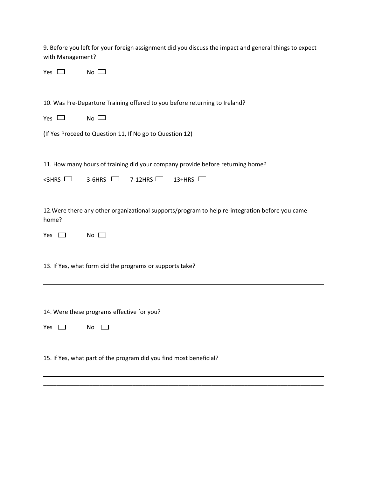| 9. Before you left for your foreign assignment did you discuss the impact and general things to expect |  |
|--------------------------------------------------------------------------------------------------------|--|
| with Management?                                                                                       |  |

| N<br>ρς | N٥ |
|---------|----|
|         |    |

10. Was Pre-Departure Training offered to you before returning to Ireland?

(If Yes Proceed to Question 11, If No go to Question 12)

11. How many hours of training did your company provide before returning home?

 $\leq$ 3HRS  $\Box$  3-6HRS  $\Box$  7-12HRS  $\Box$  13+HRS  $\Box$ 

12.Were there any other organizational supports/program to help re‐integration before you came home?

\_\_\_\_\_\_\_\_\_\_\_\_\_\_\_\_\_\_\_\_\_\_\_\_\_\_\_\_\_\_\_\_\_\_\_\_\_\_\_\_\_\_\_\_\_\_\_\_\_\_\_\_\_\_\_\_\_\_\_\_\_\_\_\_\_\_\_\_\_\_\_\_\_\_\_\_\_\_\_\_\_\_\_\_\_

\_\_\_\_\_\_\_\_\_\_\_\_\_\_\_\_\_\_\_\_\_\_\_\_\_\_\_\_\_\_\_\_\_\_\_\_\_\_\_\_\_\_\_\_\_\_\_\_\_\_\_\_\_\_\_\_\_\_\_\_\_\_\_\_\_\_\_\_\_\_\_\_\_\_\_\_\_\_\_\_\_\_\_\_\_ \_\_\_\_\_\_\_\_\_\_\_\_\_\_\_\_\_\_\_\_\_\_\_\_\_\_\_\_\_\_\_\_\_\_\_\_\_\_\_\_\_\_\_\_\_\_\_\_\_\_\_\_\_\_\_\_\_\_\_\_\_\_\_\_\_\_\_\_\_\_\_\_\_\_\_\_\_\_\_\_\_\_\_\_\_

 $Yes \Box \qquad No \Box$ 

13. If Yes, what form did the programs or supports take?

14. Were these programs effective for you?

| N٥ |
|----|
|    |

15. If Yes, what part of the program did you find most beneficial?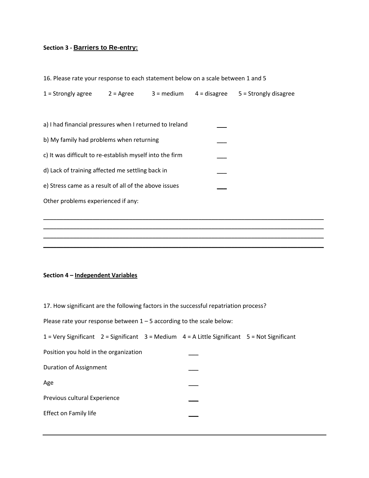## **Section 3 ‐ Barriers to Re-entry:**

|  |  |  |  | 16. Please rate your response to each statement below on a scale between 1 and 5 |  |
|--|--|--|--|----------------------------------------------------------------------------------|--|
|--|--|--|--|----------------------------------------------------------------------------------|--|

\_\_\_\_\_\_\_\_\_\_\_\_\_\_\_\_\_\_\_\_\_\_\_\_\_\_\_\_\_\_\_\_\_\_\_\_\_\_\_\_\_\_\_\_\_\_\_\_\_\_\_\_\_\_\_\_\_\_\_\_\_\_\_\_\_\_\_\_\_\_\_\_\_\_\_\_\_\_\_\_\_\_\_\_\_ \_\_\_\_\_\_\_\_\_\_\_\_\_\_\_\_\_\_\_\_\_\_\_\_\_\_\_\_\_\_\_\_\_\_\_\_\_\_\_\_\_\_\_\_\_\_\_\_\_\_\_\_\_\_\_\_\_\_\_\_\_\_\_\_\_\_\_\_\_\_\_\_\_\_\_\_\_\_\_\_\_\_\_\_\_ \_\_\_\_\_\_\_\_\_\_\_\_\_\_\_\_\_\_\_\_\_\_\_\_\_\_\_\_\_\_\_\_\_\_\_\_\_\_\_\_\_\_\_\_\_\_\_\_\_\_\_\_\_\_\_\_\_\_\_\_\_\_\_\_\_\_\_\_\_\_\_\_\_\_\_\_\_\_\_\_\_\_\_\_\_ \_\_\_\_\_\_\_\_\_\_\_\_\_\_\_\_\_\_\_\_\_\_\_\_\_\_\_\_\_\_\_\_\_\_\_\_\_\_\_\_\_\_\_\_\_\_\_\_\_\_\_\_\_\_\_\_\_\_\_\_\_\_\_\_\_\_\_\_\_\_\_\_\_\_\_\_\_\_\_\_\_\_\_\_\_

- a) I had financial pressures when I returned to Ireland
- b) My family had problems when returning
- c) It was difficult to re-establish myself into the firm
- d) Lack of training affected me settling back in
- e) Stress came as a result of all of the above issues

Other problems experienced if any:

#### **Section 4 – Independent Variables**

17. How significant are the following factors in the successful repatriation process?

| Please rate your response between $1 - 5$ according to the scale below: |
|-------------------------------------------------------------------------|
|-------------------------------------------------------------------------|

| $1 =$ Very Significant 2 = Significant 3 = Medium 4 = A Little Significant 5 = Not Significant |  |  |
|------------------------------------------------------------------------------------------------|--|--|
| Position you hold in the organization                                                          |  |  |
| Duration of Assignment                                                                         |  |  |
| Age                                                                                            |  |  |
| Previous cultural Experience                                                                   |  |  |
| Effect on Family life                                                                          |  |  |